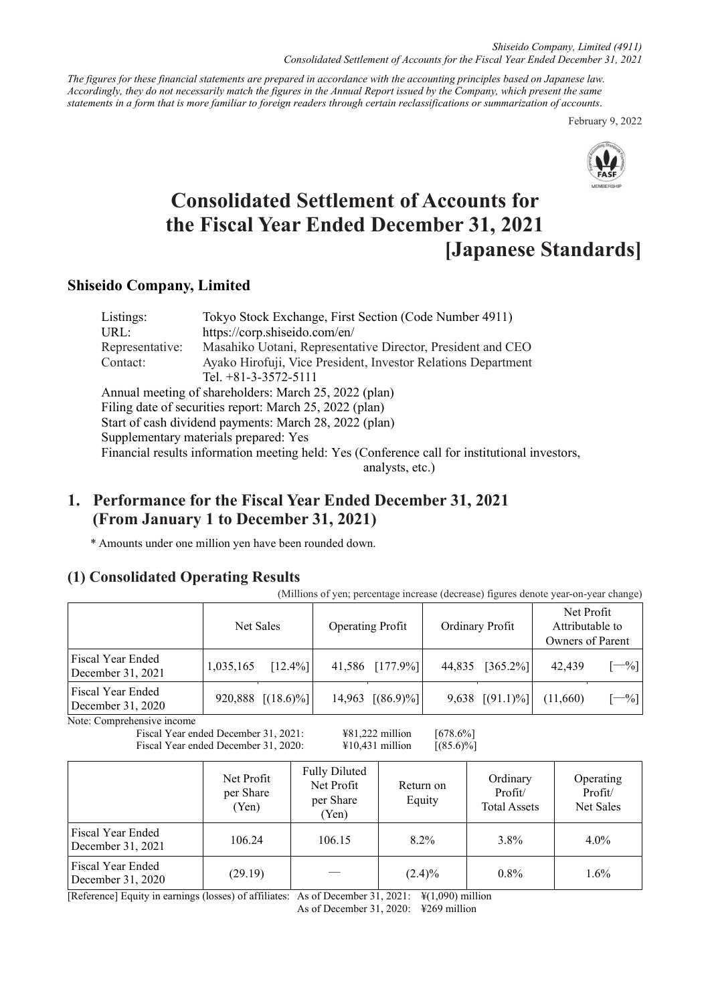*Shiseido Company, Limited (4911) Consolidated Settlement of Accounts for the Fiscal Year Ended December 31, 2021*

*The figures for these financial statements are prepared in accordance with the accounting principles based on Japanese law. Accordingly, they do not necessarily match the figures in the Annual Report issued by the Company, which present the same statements in a form that is more familiar to foreign readers through certain reclassifications or summarization of accounts*.

February 9, 2022



# **Consolidated Settlement of Accounts for the Fiscal Year Ended December 31, 2021 [Japanese Standards]**

## **Shiseido Company, Limited**

| Listings:       | Tokyo Stock Exchange, First Section (Code Number 4911)                                        |
|-----------------|-----------------------------------------------------------------------------------------------|
| URL:            | https://corp.shiseido.com/en/                                                                 |
| Representative: | Masahiko Uotani, Representative Director, President and CEO                                   |
| Contact:        | Ayako Hirofuji, Vice President, Investor Relations Department                                 |
|                 | Tel. $+81-3-3572-5111$                                                                        |
|                 | Annual meeting of shareholders: March 25, 2022 (plan)                                         |
|                 | Filing date of securities report: March 25, 2022 (plan)                                       |
|                 | Start of cash dividend payments: March 28, 2022 (plan)                                        |
|                 | Supplementary materials prepared: Yes                                                         |
|                 | Financial results information meeting held: Yes (Conference call for institutional investors, |
|                 | analysts, etc.)                                                                               |

## **1. Performance for the Fiscal Year Ended December 31, 2021 (From January 1 to December 31, 2021)**

\* Amounts under one million yen have been rounded down.

## **(1) Consolidated Operating Results**

(Millions of yen; percentage increase (decrease) figures denote year-on-year change)

|                                        |           | <b>Operating Profit</b><br>Net Sales |  | Ordinary Profit     |        | Net Profit<br>Attributable to<br>Owners of Parent |          |         |
|----------------------------------------|-----------|--------------------------------------|--|---------------------|--------|---------------------------------------------------|----------|---------|
| Fiscal Year Ended<br>December 31, 2021 | 1,035,165 | $[12.4\%]$                           |  | 41,586 [177.9%]     | 44,835 | $[365.2\%]$                                       | 42,439   | $[-\%]$ |
| Fiscal Year Ended<br>December 31, 2020 |           | 920,888 $[(18.6)\%]$                 |  | 14,963 $[(86.9)\%]$ |        | 9,638 $[(91.1)\%]$                                | (11,660) | $[-\%]$ |

Note: Comprehensive income

Fiscal Year ended December 31, 2021:  $\frac{481,222 \text{ million}}{678.6\%}$ Fiscal Year ended December 31, 2020:  $\qquad \qquad \text{\#10,431 million}$  [(85.6)%]

|                                        | Net Profit<br>per Share<br>(Yen) | <b>Fully Diluted</b><br>Net Profit<br>per Share<br>(Yen) | Return on<br>Equity | Ordinary<br>Profit/<br><b>Total Assets</b> | Operating<br>Profit/<br>Net Sales |
|----------------------------------------|----------------------------------|----------------------------------------------------------|---------------------|--------------------------------------------|-----------------------------------|
| Fiscal Year Ended<br>December 31, 2021 | 106.24                           | 106.15                                                   | $8.2\%$             | 3.8%                                       | $4.0\%$                           |
| Fiscal Year Ended<br>December 31, 2020 | (29.19)                          |                                                          | $(2.4)\%$           | $0.8\%$                                    | $1.6\%$                           |

[Reference] Equity in earnings (losses) of affiliates: As of December 31, 2021: ¥(1,090) million

As of December 31, 2020: ¥269 million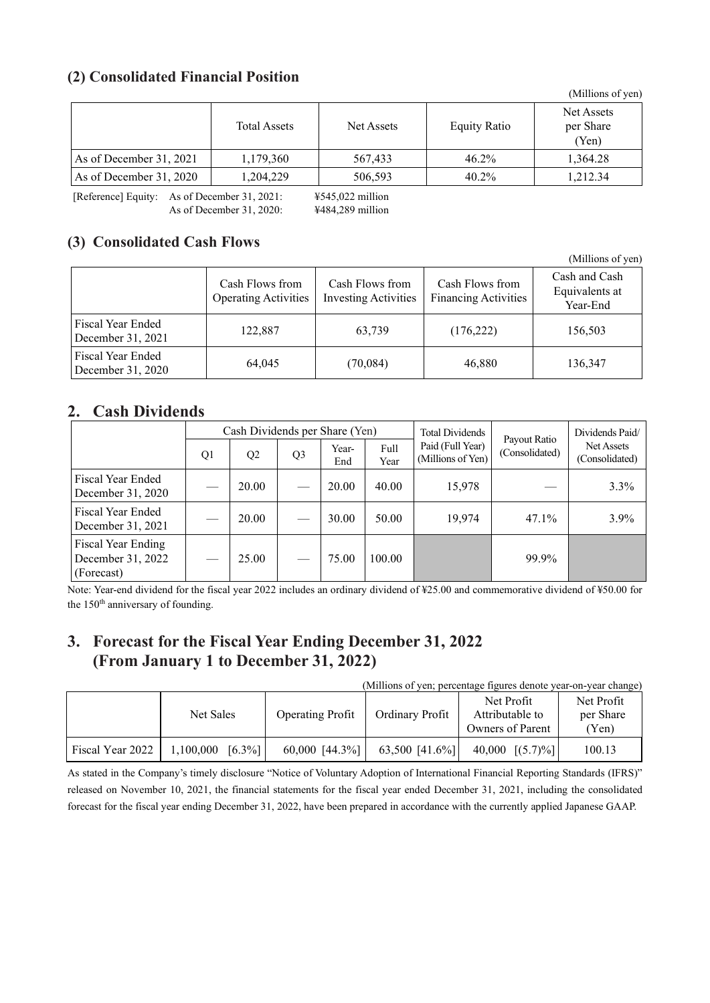## **(2) Consolidated Financial Position**

|                         |                     |            |                     | (1)                              |
|-------------------------|---------------------|------------|---------------------|----------------------------------|
|                         | <b>Total Assets</b> | Net Assets | <b>Equity Ratio</b> | Net Assets<br>per Share<br>(Yen) |
| As of December 31, 2021 | 1,179,360           | 567,433    | $46.2\%$            | 1,364.28                         |
| As of December 31, 2020 | 1.204.229           | 506,593    | $40.2\%$            | 1.212.34                         |

[Reference] Equity: As of December 31, 2021: ¥545,022 million As of December 31, 2020: ¥484,289 million

## **(3) Consolidated Cash Flows**

|                                        | Cash Flows from<br><b>Operating Activities</b> | Cash Flows from<br><b>Investing Activities</b> | Cash Flows from<br><b>Financing Activities</b> | Cash and Cash<br>Equivalents at<br>Year-End |
|----------------------------------------|------------------------------------------------|------------------------------------------------|------------------------------------------------|---------------------------------------------|
| Fiscal Year Ended<br>December 31, 2021 | 122,887                                        | 63,739                                         | (176, 222)                                     | 156,503                                     |
| Fiscal Year Ended<br>December 31, 2020 | 64,045                                         | (70,084)                                       | 46,880                                         | 136,347                                     |

## **2. Cash Dividends**

|                                                       | Cash Dividends per Share (Yen) |                |                          |              |              | <b>Total Dividends</b>                | Payout Ratio   | Dividends Paid/              |
|-------------------------------------------------------|--------------------------------|----------------|--------------------------|--------------|--------------|---------------------------------------|----------------|------------------------------|
|                                                       | Q1                             | Q <sub>2</sub> | Q <sub>3</sub>           | Year-<br>End | Full<br>Year | Paid (Full Year)<br>(Millions of Yen) | (Consolidated) | Net Assets<br>(Consolidated) |
| Fiscal Year Ended<br>December 31, 2020                | $\sim$                         | 20.00          | $\overline{\phantom{a}}$ | 20.00        | 40.00        | 15,978                                |                | 3.3%                         |
| <b>Fiscal Year Ended</b><br>December 31, 2021         |                                | 20.00          |                          | 30.00        | 50.00        | 19,974                                | 47.1%          | $3.9\%$                      |
| Fiscal Year Ending<br>December 31, 2022<br>(Forecast) |                                | 25.00          |                          | 75.00        | 100.00       |                                       | 99.9%          |                              |

Note: Year-end dividend for the fiscal year 2022 includes an ordinary dividend of ¥25.00 and commemorative dividend of ¥50.00 for the 150<sup>th</sup> anniversary of founding.

## **3. Forecast for the Fiscal Year Ending December 31, 2022 (From January 1 to December 31, 2022)**

(Millions of yen; percentage figures denote year-on-year change)

|                  | Net Sales          | <b>Operating Profit</b> | <b>Ordinary Profit</b> | Net Profit<br>Attributable to<br>Owners of Parent | Net Profit<br>per Share<br>(Yen) |
|------------------|--------------------|-------------------------|------------------------|---------------------------------------------------|----------------------------------|
| Fiscal Year 2022 | $1,100,000$ [6.3%] | $60,000$ [44.3%]        | 63,500 [41.6%]         | 40,000 $[(5.7)\%]$                                | 100.13                           |

As stated in the Company's timely disclosure "Notice of Voluntary Adoption of International Financial Reporting Standards (IFRS)" released on November 10, 2021, the financial statements for the fiscal year ended December 31, 2021, including the consolidated forecast for the fiscal year ending December 31, 2022, have been prepared in accordance with the currently applied Japanese GAAP.

(Millions of yen)

(Millions of yen)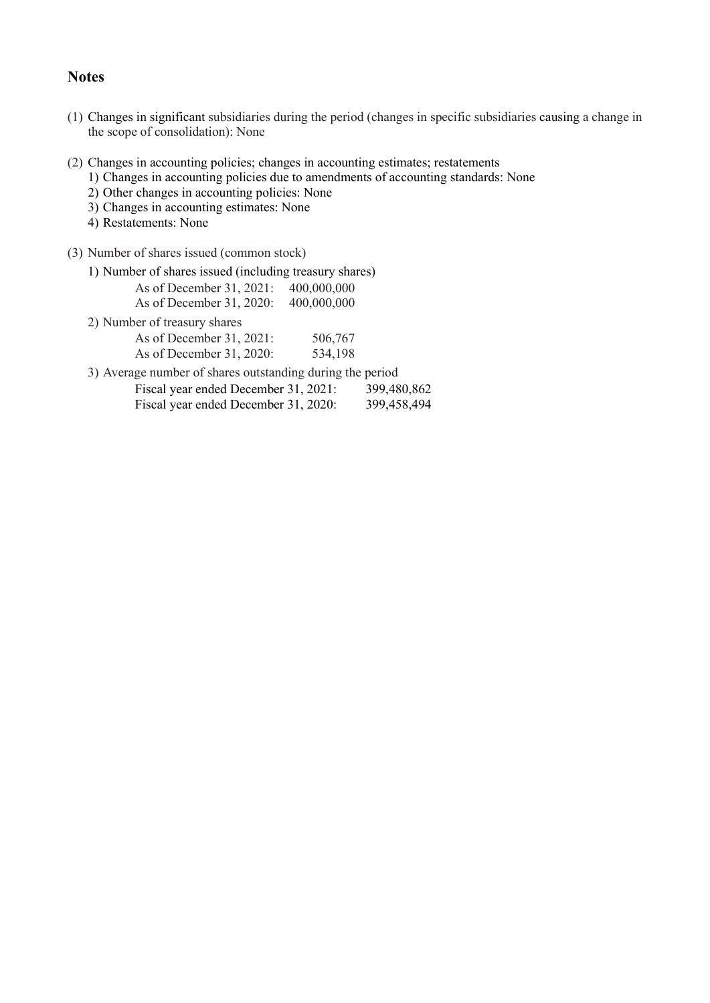## **Notes**

- (1) Changes in significant subsidiaries during the period (changes in specific subsidiaries causing a change in the scope of consolidation): None
- (2) Changes in accounting policies; changes in accounting estimates; restatements
	- 1) Changes in accounting policies due to amendments of accounting standards: None
	- 2) Other changes in accounting policies: None
	- 3) Changes in accounting estimates: None
	- 4) Restatements: None
- (3) Number of shares issued (common stock)
	- 1) Number of shares issued (including treasury shares)
		- As of December 31, 2021: 400,000,000 As of December 31, 2020: 400,000,000
	- 2) Number of treasury shares

| As of December $31, 2021$ : | 506,767 |
|-----------------------------|---------|
| As of December 31, 2020:    | 534,198 |

- 3) Average number of shares outstanding during the period
	- Fiscal year ended December 31, 2021: 399,480,862 Fiscal year ended December 31, 2020: 399,458,494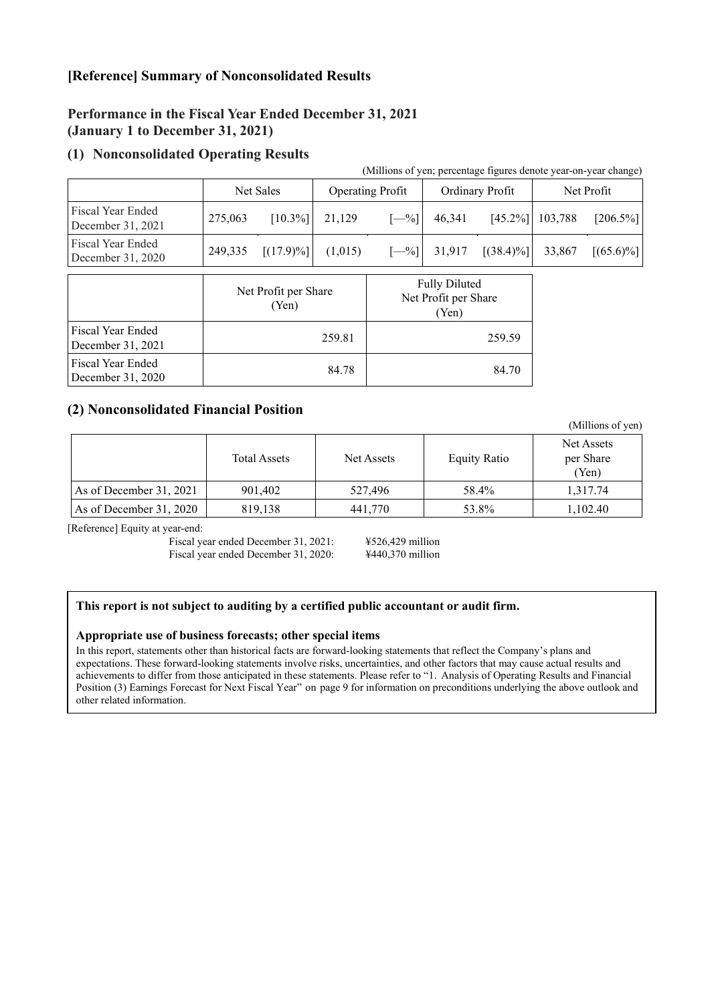## **[Reference] Summary of Nonconsolidated Results**

## **Performance in the Fiscal Year Ended December 31, 2021 (January 1 to December 31, 2021)**

## **(1) Nonconsolidated Operating Results**

|                                               |                               |              |                                                       | (Millions of yen; percentage figures denote year-on-year change) |                 |              |            |              |
|-----------------------------------------------|-------------------------------|--------------|-------------------------------------------------------|------------------------------------------------------------------|-----------------|--------------|------------|--------------|
|                                               | Net Sales                     |              | <b>Operating Profit</b>                               |                                                                  | Ordinary Profit |              | Net Profit |              |
| <b>Fiscal Year Ended</b><br>December 31, 2021 | 275,063                       | $[10.3\%]$   | 21,129                                                | $[-%]$                                                           | 46,341          | $[45.2\%]$   | 103,788    | $[206.5\%]$  |
| <b>Fiscal Year Ended</b><br>December 31, 2020 | 249,335                       | $[(17.9)\%]$ | (1,015)                                               | $[-\%]$                                                          | 31,917          | $[(38.4)\%]$ | 33,867     | $[(65.6)\%]$ |
|                                               | Net Profit per Share<br>(Yen) |              | <b>Fully Diluted</b><br>Net Profit per Share<br>(Yen) |                                                                  |                 |              |            |              |
| Fiscal Year Ended<br>December 31, 2021        |                               |              | 259.81                                                | 259.59                                                           |                 |              |            |              |
| Fiscal Year Ended<br>December 31, 2020        | 84.78                         |              | 84.70                                                 |                                                                  |                 |              |            |              |

### **(2) Nonconsolidated Financial Position**

|                         |                     |            |                     | (Millions of yen)                |
|-------------------------|---------------------|------------|---------------------|----------------------------------|
|                         | <b>Total Assets</b> | Net Assets | <b>Equity Ratio</b> | Net Assets<br>per Share<br>(Yen) |
| As of December 31, 2021 | 901,402             | 527,496    | 58.4%               | 1,317.74                         |
| As of December 31, 2020 | 819,138             | 441,770    | 53.8%               | 1,102.40                         |

[Reference] Equity at year-end:

Fiscal year ended December 31, 2021: ¥526,429 million Fiscal year ended December 31, 2020: ¥440,370 million

#### **This report is not subject to auditing by a certified public accountant or audit firm.**

#### **Appropriate use of business forecasts; other special items**

In this report, statements other than historical facts are forward-looking statements that reflect the Company's plans and expectations. These forward-looking statements involve risks, uncertainties, and other factors that may cause actual results and achievements to differ from those anticipated in these statements. Please refer to "1. Analysis of Operating Results and Financial Position (3) Earnings Forecast for Next Fiscal Year" on page 9 for information on preconditions underlying the above outlook and other related information.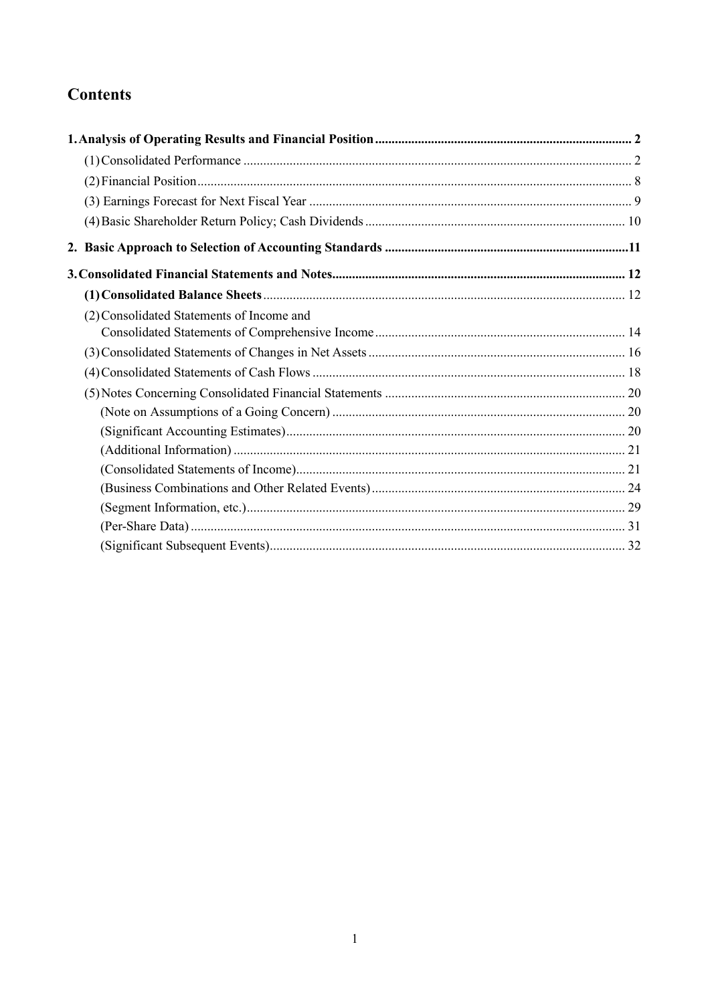# **Contents**

| (2) Consolidated Statements of Income and |  |
|-------------------------------------------|--|
|                                           |  |
|                                           |  |
|                                           |  |
|                                           |  |
|                                           |  |
|                                           |  |
|                                           |  |
|                                           |  |
|                                           |  |
|                                           |  |
|                                           |  |
|                                           |  |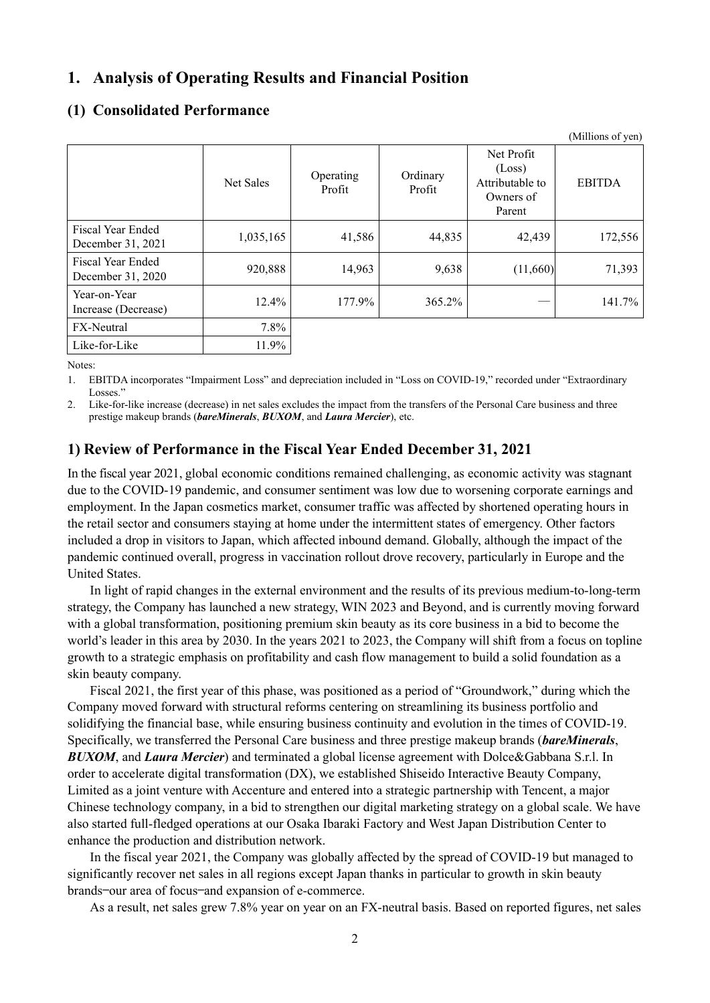## <span id="page-5-0"></span>**1. Analysis of Operating Results and Financial Position**

## <span id="page-5-1"></span>**(1) Consolidated Performance**

|                                        |           |                     |                    |                                                                | (Millions of yen) |
|----------------------------------------|-----------|---------------------|--------------------|----------------------------------------------------------------|-------------------|
|                                        | Net Sales | Operating<br>Profit | Ordinary<br>Profit | Net Profit<br>(Loss)<br>Attributable to<br>Owners of<br>Parent | <b>EBITDA</b>     |
| Fiscal Year Ended<br>December 31, 2021 | 1,035,165 | 41,586              | 44,835             | 42,439                                                         | 172,556           |
| Fiscal Year Ended<br>December 31, 2020 | 920,888   | 14,963              | 9,638              | (11,660)                                                       | 71,393            |
| Year-on-Year<br>Increase (Decrease)    | 12.4%     | 177.9%              | 365.2%             |                                                                | 141.7%            |
| <b>FX-Neutral</b>                      | $7.8\%$   |                     |                    |                                                                |                   |
| Like-for-Like                          | 11.9%     |                     |                    |                                                                |                   |

Notes:

1. EBITDA incorporates "Impairment Loss" and depreciation included in "Loss on COVID-19," recorded under "Extraordinary Losses."

2. Like-for-like increase (decrease) in net sales excludes the impact from the transfers of the Personal Care business and three prestige makeup brands (*bareMinerals*, *BUXOM*, and *Laura Mercier*), etc.

## **1) Review of Performance in the Fiscal Year Ended December 31, 2021**

In the fiscal year 2021, global economic conditions remained challenging, as economic activity was stagnant due to the COVID-19 pandemic, and consumer sentiment was low due to worsening corporate earnings and employment. In the Japan cosmetics market, consumer traffic was affected by shortened operating hours in the retail sector and consumers staying at home under the intermittent states of emergency. Other factors included a drop in visitors to Japan, which affected inbound demand. Globally, although the impact of the pandemic continued overall, progress in vaccination rollout drove recovery, particularly in Europe and the United States.

In light of rapid changes in the external environment and the results of its previous medium-to-long-term strategy, the Company has launched a new strategy, WIN 2023 and Beyond, and is currently moving forward with a global transformation, positioning premium skin beauty as its core business in a bid to become the world's leader in this area by 2030. In the years 2021 to 2023, the Company will shift from a focus on topline growth to a strategic emphasis on profitability and cash flow management to build a solid foundation as a skin beauty company.

Fiscal 2021, the first year of this phase, was positioned as a period of "Groundwork," during which the Company moved forward with structural reforms centering on streamlining its business portfolio and solidifying the financial base, while ensuring business continuity and evolution in the times of COVID-19. Specifically, we transferred the Personal Care business and three prestige makeup brands (*bareMinerals*, *BUXOM*, and *Laura Mercier*) and terminated a global license agreement with Dolce&Gabbana S.r.l. In order to accelerate digital transformation (DX), we established Shiseido Interactive Beauty Company, Limited as a joint venture with Accenture and entered into a strategic partnership with Tencent, a major Chinese technology company, in a bid to strengthen our digital marketing strategy on a global scale. We have also started full-fledged operations at our Osaka Ibaraki Factory and West Japan Distribution Center to enhance the production and distribution network.

In the fiscal year 2021, the Company was globally affected by the spread of COVID-19 but managed to significantly recover net sales in all regions except Japan thanks in particular to growth in skin beauty brands—our area of focus—and expansion of e-commerce.

As a result, net sales grew 7.8% year on year on an FX-neutral basis. Based on reported figures, net sales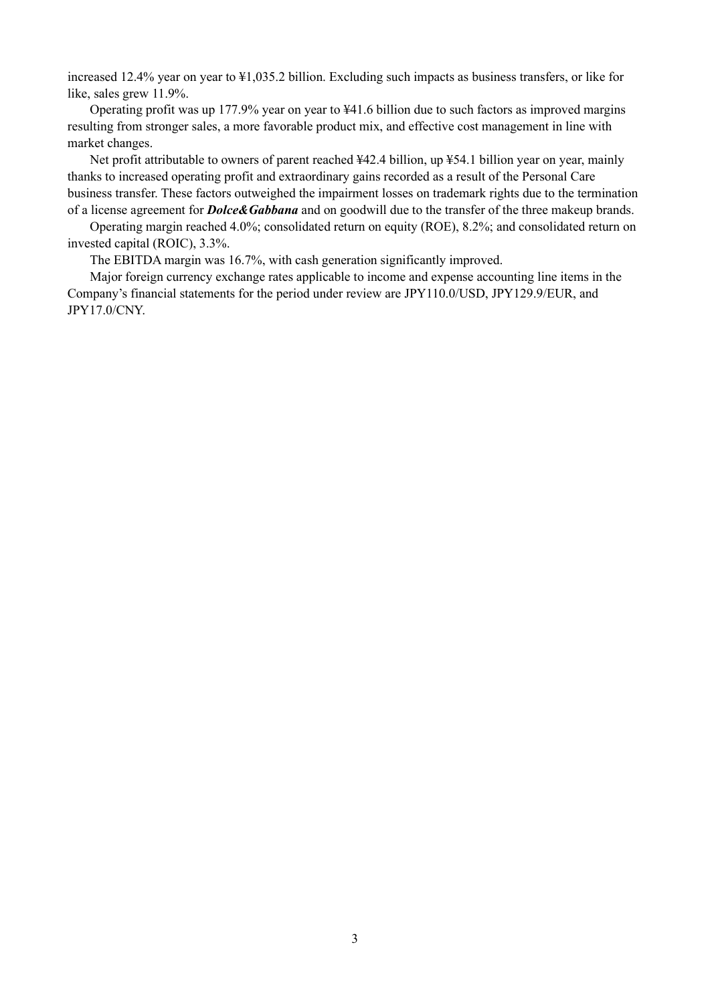increased 12.4% year on year to ¥1,035.2 billion. Excluding such impacts as business transfers, or like for like, sales grew 11.9%.

Operating profit was up 177.9% year on year to ¥41.6 billion due to such factors as improved margins resulting from stronger sales, a more favorable product mix, and effective cost management in line with market changes.

Net profit attributable to owners of parent reached ¥42.4 billion, up ¥54.1 billion year on year, mainly thanks to increased operating profit and extraordinary gains recorded as a result of the Personal Care business transfer. These factors outweighed the impairment losses on trademark rights due to the termination of a license agreement for *Dolce&Gabbana* and on goodwill due to the transfer of the three makeup brands.

Operating margin reached 4.0%; consolidated return on equity (ROE), 8.2%; and consolidated return on invested capital (ROIC), 3.3%.

The EBITDA margin was 16.7%, with cash generation significantly improved.

Major foreign currency exchange rates applicable to income and expense accounting line items in the Company's financial statements for the period under review are JPY110.0/USD, JPY129.9/EUR, and JPY17.0/CNY.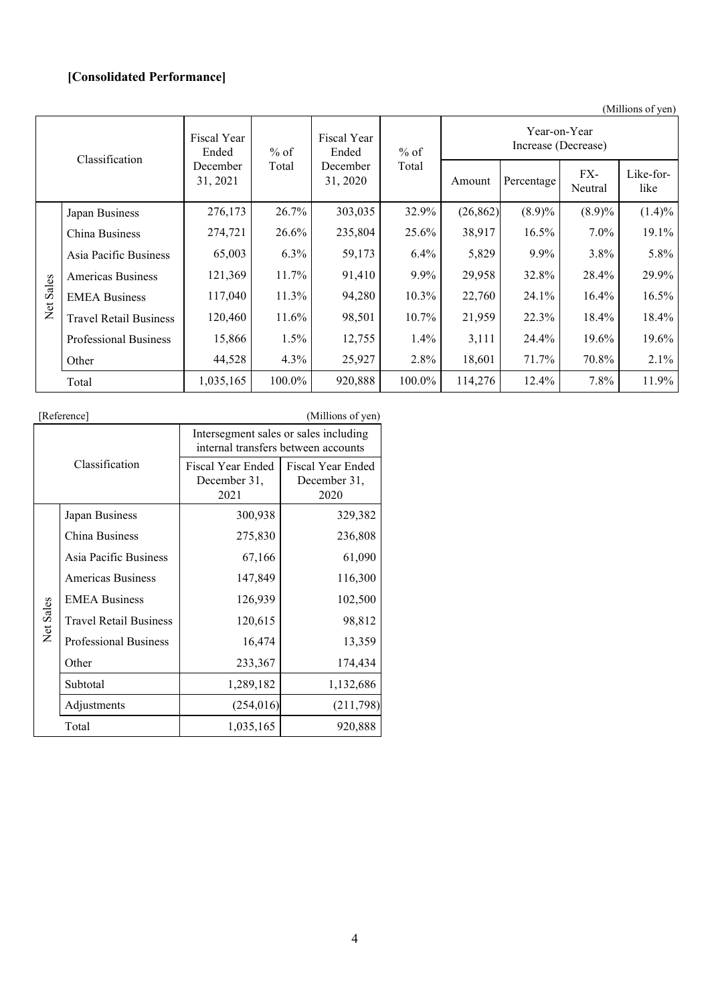## **[Consolidated Performance]**

(Millions of yen)

| Classification |                               | Fiscal Year<br>$%$ of<br>Ended |                               | Fiscal Year<br>Ended | $%$ of  | Year-on-Year<br>Increase (Decrease) |            |                |                   |
|----------------|-------------------------------|--------------------------------|-------------------------------|----------------------|---------|-------------------------------------|------------|----------------|-------------------|
|                |                               | December<br>31, 2021           | Total<br>December<br>31, 2020 |                      | Total   | Amount                              | Percentage | FX-<br>Neutral | Like-for-<br>like |
|                | Japan Business                | 276,173                        | 26.7%                         | 303,035              | 32.9%   | (26, 862)                           | $(8.9)\%$  | $(8.9)\%$      | $(1.4)\%$         |
|                | China Business                | 274,721                        | 26.6%                         | 235,804              | 25.6%   | 38,917                              | $16.5\%$   | $7.0\%$        | 19.1%             |
|                | Asia Pacific Business         | 65,003                         | $6.3\%$                       | 59,173               | $6.4\%$ | 5,829                               | $9.9\%$    | $3.8\%$        | 5.8%              |
|                | Americas Business             | 121,369                        | 11.7%                         | 91,410               | $9.9\%$ | 29,958                              | 32.8%      | 28.4%          | 29.9%             |
| Net Sales      | <b>EMEA Business</b>          | 117,040                        | 11.3%                         | 94,280               | 10.3%   | 22,760                              | 24.1%      | $16.4\%$       | 16.5%             |
|                | <b>Travel Retail Business</b> | 120,460                        | 11.6%                         | 98,501               | 10.7%   | 21,959                              | 22.3%      | 18.4%          | 18.4%             |
|                | <b>Professional Business</b>  | 15,866                         | 1.5%                          | 12,755               | $1.4\%$ | 3,111                               | 24.4%      | 19.6%          | 19.6%             |
|                | Other                         | 44,528                         | 4.3%                          | 25,927               | 2.8%    | 18,601                              | 71.7%      | 70.8%          | 2.1%              |
|                | Total                         | 1,035,165                      | 100.0%                        | 920,888              | 100.0%  | 114,276                             | 12.4%      | 7.8%           | 11.9%             |

|                | [Reference]                   |                                                                              | (Millions of yen)                         |  |
|----------------|-------------------------------|------------------------------------------------------------------------------|-------------------------------------------|--|
|                |                               | Intersegment sales or sales including<br>internal transfers between accounts |                                           |  |
| Classification |                               | Fiscal Year Ended<br>December 31,<br>2021                                    | Fiscal Year Ended<br>December 31,<br>2020 |  |
|                | Japan Business                | 300,938                                                                      | 329,382                                   |  |
|                | China Business                | 275,830                                                                      | 236,808                                   |  |
|                | Asia Pacific Business         | 67,166                                                                       | 61,090                                    |  |
|                | <b>Americas Business</b>      | 147,849                                                                      | 116,300                                   |  |
|                | <b>EMEA Business</b>          | 126,939                                                                      | 102,500                                   |  |
| Net Sales      | <b>Travel Retail Business</b> | 120,615                                                                      | 98,812                                    |  |
|                | <b>Professional Business</b>  | 16,474                                                                       | 13,359                                    |  |
|                | Other                         | 233,367                                                                      | 174,434                                   |  |
|                | Subtotal                      | 1,289,182                                                                    | 1,132,686                                 |  |
|                | Adjustments                   | (254, 016)                                                                   | (211,798)                                 |  |
|                | Total                         | 1,035,165                                                                    | 920,888                                   |  |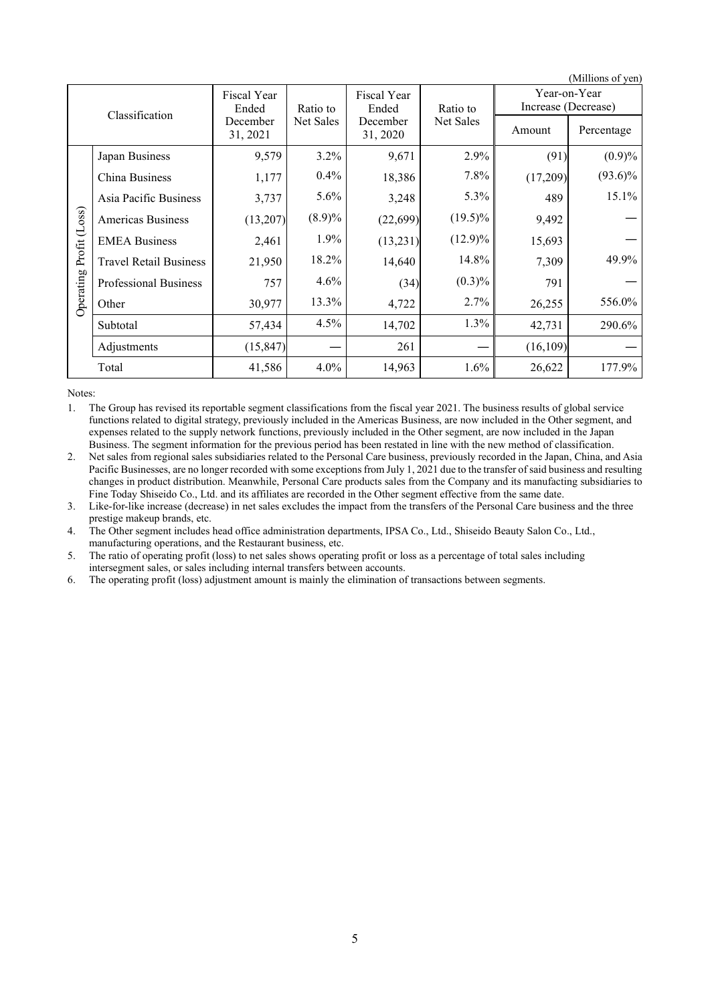|                | (Millions of yen)             |                      |           |                      |                       |                                     |            |
|----------------|-------------------------------|----------------------|-----------|----------------------|-----------------------|-------------------------------------|------------|
| Classification |                               | Fiscal Year<br>Ended | Ratio to  | Fiscal Year<br>Ended | Ratio to<br>Net Sales | Year-on-Year<br>Increase (Decrease) |            |
|                |                               | December<br>31, 2021 | Net Sales | December<br>31, 2020 |                       | Amount                              | Percentage |
|                | Japan Business                | 9,579                | 3.2%      | 9,671                | 2.9%                  | (91)                                | (0.9)%     |
|                | China Business                | 1,177                | $0.4\%$   | 18,386               | 7.8%                  | (17,209)                            | $(93.6)\%$ |
|                | Asia Pacific Business         | 3,737                | 5.6%      | 3,248                | 5.3%                  | 489                                 | 15.1%      |
| Profit (Loss)  | <b>Americas Business</b>      | (13,207)             | $(8.9)\%$ | (22, 699)            | $(19.5)\%$            | 9,492                               |            |
|                | <b>EMEA Business</b>          | 2,461                | 1.9%      | (13,231)             | $(12.9)\%$            | 15,693                              |            |
|                | <b>Travel Retail Business</b> | 21,950               | 18.2%     | 14,640               | 14.8%                 | 7,309                               | 49.9%      |
|                | Professional Business         | 757                  | $4.6\%$   | (34)                 | $(0.3)\%$             | 791                                 |            |
| Operating      | Other                         | 30,977               | 13.3%     | 4,722                | 2.7%                  | 26,255                              | 556.0%     |
|                | Subtotal                      | 57,434               | 4.5%      | 14,702               | 1.3%                  | 42,731                              | 290.6%     |
|                | Adjustments                   | (15, 847)            |           | 261                  |                       | (16, 109)                           |            |
|                | Total                         | 41,586               | $4.0\%$   | 14,963               | 1.6%                  | 26,622                              | 177.9%     |

Notes:

1. The Group has revised its reportable segment classifications from the fiscal year 2021. The business results of global service functions related to digital strategy, previously included in the Americas Business, are now included in the Other segment, and expenses related to the supply network functions, previously included in the Other segment, are now included in the Japan Business. The segment information for the previous period has been restated in line with the new method of classification.

2. Net sales from regional sales subsidiaries related to the Personal Care business, previously recorded in the Japan, China, and Asia Pacific Businesses, are no longer recorded with some exceptions from July 1, 2021 due to the transfer of said business and resulting changes in product distribution. Meanwhile, Personal Care products sales from the Company and its manufacting subsidiaries to Fine Today Shiseido Co., Ltd. and its affiliates are recorded in the Other segment effective from the same date.

3. Like-for-like increase (decrease) in net sales excludes the impact from the transfers of the Personal Care business and the three prestige makeup brands, etc.

4. The Other segment includes head office administration departments, IPSA Co., Ltd., Shiseido Beauty Salon Co., Ltd., manufacturing operations, and the Restaurant business, etc.

5. The ratio of operating profit (loss) to net sales shows operating profit or loss as a percentage of total sales including intersegment sales, or sales including internal transfers between accounts.

6. The operating profit (loss) adjustment amount is mainly the elimination of transactions between segments.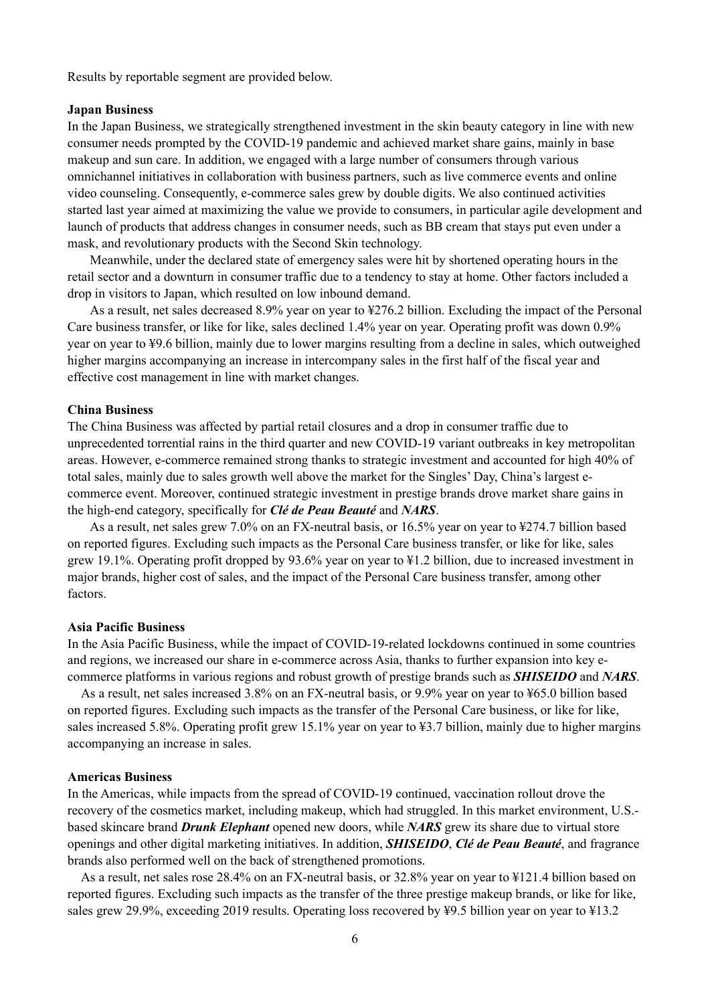Results by reportable segment are provided below.

#### **Japan Business**

In the Japan Business, we strategically strengthened investment in the skin beauty category in line with new consumer needs prompted by the COVID-19 pandemic and achieved market share gains, mainly in base makeup and sun care. In addition, we engaged with a large number of consumers through various omnichannel initiatives in collaboration with business partners, such as live commerce events and online video counseling. Consequently, e-commerce sales grew by double digits. We also continued activities started last year aimed at maximizing the value we provide to consumers, in particular agile development and launch of products that address changes in consumer needs, such as BB cream that stays put even under a mask, and revolutionary products with the Second Skin technology.

Meanwhile, under the declared state of emergency sales were hit by shortened operating hours in the retail sector and a downturn in consumer traffic due to a tendency to stay at home. Other factors included a drop in visitors to Japan, which resulted on low inbound demand.

As a result, net sales decreased 8.9% year on year to ¥276.2 billion. Excluding the impact of the Personal Care business transfer, or like for like, sales declined 1.4% year on year. Operating profit was down 0.9% year on year to ¥9.6 billion, mainly due to lower margins resulting from a decline in sales, which outweighed higher margins accompanying an increase in intercompany sales in the first half of the fiscal year and effective cost management in line with market changes.

#### **China Business**

The China Business was affected by partial retail closures and a drop in consumer traffic due to unprecedented torrential rains in the third quarter and new COVID-19 variant outbreaks in key metropolitan areas. However, e-commerce remained strong thanks to strategic investment and accounted for high 40% of total sales, mainly due to sales growth well above the market for the Singles' Day, China's largest ecommerce event. Moreover, continued strategic investment in prestige brands drove market share gains in the high-end category, specifically for *Clé de Peau Beauté* and *NARS*.

As a result, net sales grew 7.0% on an FX-neutral basis, or 16.5% year on year to ¥274.7 billion based on reported figures. Excluding such impacts as the Personal Care business transfer, or like for like, sales grew 19.1%. Operating profit dropped by 93.6% year on year to ¥1.2 billion, due to increased investment in major brands, higher cost of sales, and the impact of the Personal Care business transfer, among other factors.

#### **Asia Pacific Business**

In the Asia Pacific Business, while the impact of COVID-19-related lockdowns continued in some countries and regions, we increased our share in e-commerce across Asia, thanks to further expansion into key ecommerce platforms in various regions and robust growth of prestige brands such as *SHISEIDO* and *NARS*.

As a result, net sales increased 3.8% on an FX-neutral basis, or 9.9% year on year to ¥65.0 billion based on reported figures. Excluding such impacts as the transfer of the Personal Care business, or like for like, sales increased 5.8%. Operating profit grew 15.1% year on year to ¥3.7 billion, mainly due to higher margins accompanying an increase in sales.

#### **Americas Business**

In the Americas, while impacts from the spread of COVID-19 continued, vaccination rollout drove the recovery of the cosmetics market, including makeup, which had struggled. In this market environment, U.S. based skincare brand *Drunk Elephant* opened new doors, while *NARS* grew its share due to virtual store openings and other digital marketing initiatives. In addition, *SHISEIDO*, *Clé de Peau Beauté*, and fragrance brands also performed well on the back of strengthened promotions.

As a result, net sales rose 28.4% on an FX-neutral basis, or 32.8% year on year to ¥121.4 billion based on reported figures. Excluding such impacts as the transfer of the three prestige makeup brands, or like for like, sales grew 29.9%, exceeding 2019 results. Operating loss recovered by ¥9.5 billion year on year to ¥13.2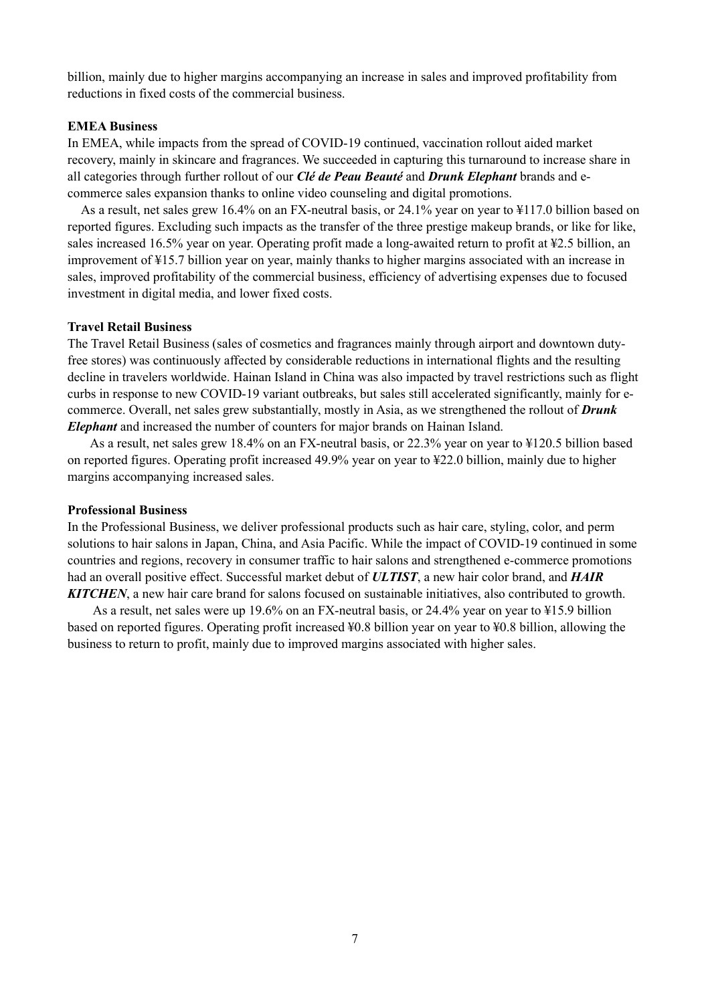billion, mainly due to higher margins accompanying an increase in sales and improved profitability from reductions in fixed costs of the commercial business.

#### **EMEA Business**

In EMEA, while impacts from the spread of COVID-19 continued, vaccination rollout aided market recovery, mainly in skincare and fragrances. We succeeded in capturing this turnaround to increase share in all categories through further rollout of our *Clé de Peau Beauté* and *Drunk Elephant* brands and ecommerce sales expansion thanks to online video counseling and digital promotions.

As a result, net sales grew 16.4% on an FX-neutral basis, or 24.1% year on year to ¥117.0 billion based on reported figures. Excluding such impacts as the transfer of the three prestige makeup brands, or like for like, sales increased 16.5% year on year. Operating profit made a long-awaited return to profit at ¥2.5 billion, an improvement of ¥15.7 billion year on year, mainly thanks to higher margins associated with an increase in sales, improved profitability of the commercial business, efficiency of advertising expenses due to focused investment in digital media, and lower fixed costs.

#### **Travel Retail Business**

The Travel Retail Business (sales of cosmetics and fragrances mainly through airport and downtown dutyfree stores) was continuously affected by considerable reductions in international flights and the resulting decline in travelers worldwide. Hainan Island in China was also impacted by travel restrictions such as flight curbs in response to new COVID-19 variant outbreaks, but sales still accelerated significantly, mainly for ecommerce. Overall, net sales grew substantially, mostly in Asia, as we strengthened the rollout of *Drunk Elephant* and increased the number of counters for major brands on Hainan Island.

As a result, net sales grew 18.4% on an FX-neutral basis, or 22.3% year on year to ¥120.5 billion based on reported figures. Operating profit increased 49.9% year on year to ¥22.0 billion, mainly due to higher margins accompanying increased sales.

#### **Professional Business**

In the Professional Business, we deliver professional products such as hair care, styling, color, and perm solutions to hair salons in Japan, China, and Asia Pacific. While the impact of COVID-19 continued in some countries and regions, recovery in consumer traffic to hair salons and strengthened e-commerce promotions had an overall positive effect. Successful market debut of *ULTIST*, a new hair color brand, and *HAIR KITCHEN*, a new hair care brand for salons focused on sustainable initiatives, also contributed to growth.

As a result, net sales were up 19.6% on an FX-neutral basis, or 24.4% year on year to ¥15.9 billion based on reported figures. Operating profit increased ¥0.8 billion year on year to ¥0.8 billion, allowing the business to return to profit, mainly due to improved margins associated with higher sales.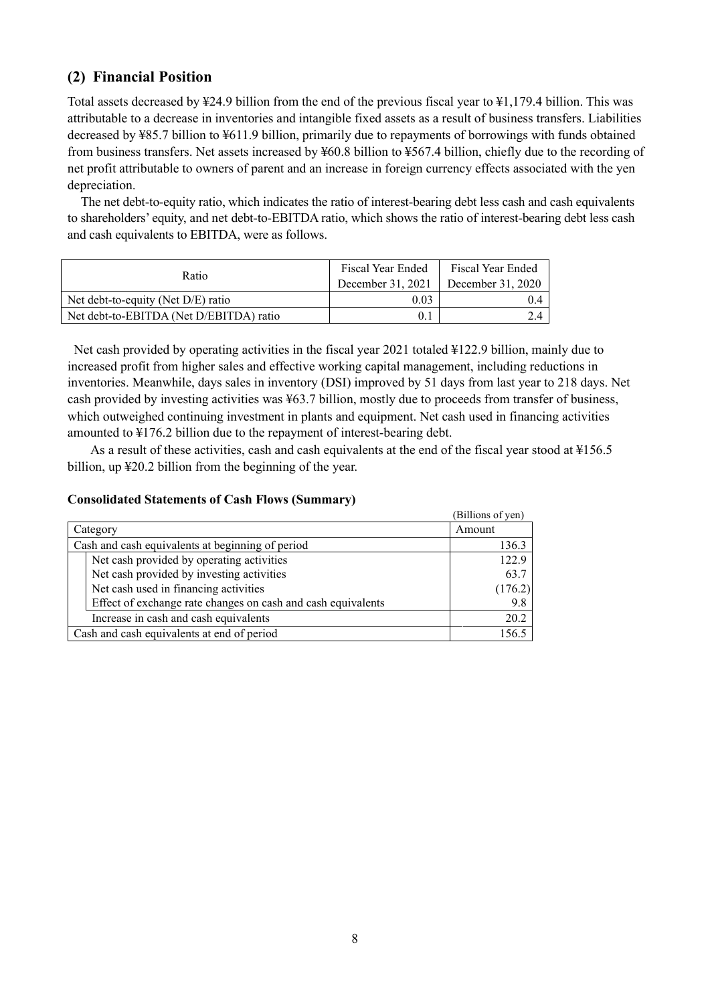## <span id="page-11-0"></span>**(2) Financial Position**

Total assets decreased by ¥24.9 billion from the end of the previous fiscal year to ¥1,179.4 billion. This was attributable to a decrease in inventories and intangible fixed assets as a result of business transfers. Liabilities decreased by ¥85.7 billion to ¥611.9 billion, primarily due to repayments of borrowings with funds obtained from business transfers. Net assets increased by ¥60.8 billion to ¥567.4 billion, chiefly due to the recording of net profit attributable to owners of parent and an increase in foreign currency effects associated with the yen depreciation.

The net debt-to-equity ratio, which indicates the ratio of interest-bearing debt less cash and cash equivalents to shareholders' equity, and net debt-to-EBITDA ratio, which shows the ratio of interest-bearing debt less cash and cash equivalents to EBITDA, were as follows.

| Ratio                                   | Fiscal Year Ended<br>December 31, 2021 | Fiscal Year Ended<br>December $31,2020$ |
|-----------------------------------------|----------------------------------------|-----------------------------------------|
| Net debt-to-equity (Net D/E) ratio      | 0.03                                   |                                         |
| Net debt-to-EBITDA (Net D/EBITDA) ratio |                                        |                                         |

 Net cash provided by operating activities in the fiscal year 2021 totaled ¥122.9 billion, mainly due to increased profit from higher sales and effective working capital management, including reductions in inventories. Meanwhile, days sales in inventory (DSI) improved by 51 days from last year to 218 days. Net cash provided by investing activities was ¥63.7 billion, mostly due to proceeds from transfer of business, which outweighed continuing investment in plants and equipment. Net cash used in financing activities amounted to ¥176.2 billion due to the repayment of interest-bearing debt.

As a result of these activities, cash and cash equivalents at the end of the fiscal year stood at ¥156.5 billion, up ¥20.2 billion from the beginning of the year.

### **Consolidated Statements of Cash Flows (Summary)**

|                                                              | (Billions of yen) |
|--------------------------------------------------------------|-------------------|
| Category                                                     | Amount            |
| Cash and cash equivalents at beginning of period             | 136.3             |
| Net cash provided by operating activities                    | 122.9             |
| Net cash provided by investing activities                    | 63.7              |
| Net cash used in financing activities                        | (176.2)           |
| Effect of exchange rate changes on cash and cash equivalents | 9.8               |
| Increase in cash and cash equivalents                        | 20.2              |
| Cash and cash equivalents at end of period                   | 156.5             |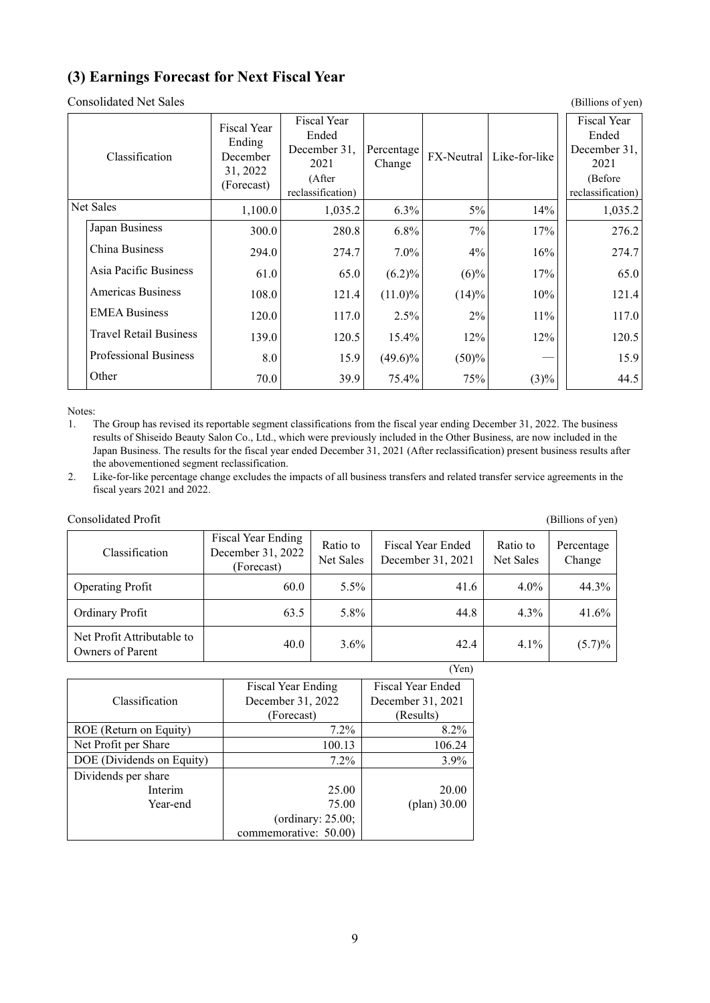## <span id="page-12-0"></span>**(3) Earnings Forecast for Next Fiscal Year**

Consolidated Net Sales (Billions of yen)

| Classification                | Fiscal Year<br>Ending<br>December<br>31, 2022<br>(Forecast) | Fiscal Year<br>Ended<br>December 31,<br>2021<br>(After<br>reclassification) | Percentage<br>Change | <b>FX-Neutral</b> | Like-for-like | Fiscal Year<br>Ended<br>December 31,<br>2021<br>(Before<br>reclassification) |
|-------------------------------|-------------------------------------------------------------|-----------------------------------------------------------------------------|----------------------|-------------------|---------------|------------------------------------------------------------------------------|
| Net Sales                     | 1,100.0                                                     | 1,035.2                                                                     | $6.3\%$              | 5%                | 14%           | 1,035.2                                                                      |
| Japan Business                | 300.0                                                       | 280.8                                                                       | 6.8%                 | 7%                | 17%           | 276.2                                                                        |
| China Business                | 294.0                                                       | 274.7                                                                       | $7.0\%$              | 4%                | 16%           | 274.7                                                                        |
| Asia Pacific Business         | 61.0                                                        | 65.0                                                                        | $(6.2)\%$            | $(6)\%$           | 17%           | 65.0                                                                         |
| <b>Americas Business</b>      | 108.0                                                       | 121.4                                                                       | $(11.0)\%$           | (14)%             | 10%           | 121.4                                                                        |
| <b>EMEA Business</b>          | 120.0                                                       | 117.0                                                                       | 2.5%                 | 2%                | 11%           | 117.0                                                                        |
| <b>Travel Retail Business</b> | 139.0                                                       | 120.5                                                                       | $15.4\%$             | 12%               | 12%           | 120.5                                                                        |
| <b>Professional Business</b>  | 8.0                                                         | 15.9                                                                        | $(49.6)\%$           | (50)%             |               | 15.9                                                                         |
| Other                         | 70.0                                                        | 39.9                                                                        | 75.4%                | 75%               | $(3)\%$       | 44.5                                                                         |

Notes:

1. The Group has revised its reportable segment classifications from the fiscal year ending December 31, 2022. The business results of Shiseido Beauty Salon Co., Ltd., which were previously included in the Other Business, are now included in the Japan Business. The results for the fiscal year ended December 31, 2021 (After reclassification) present business results after the abovementioned segment reclassification.

2. Like-for-like percentage change excludes the impacts of all business transfers and related transfer service agreements in the fiscal years 2021 and 2022.

| Consolidated Profit                            |                                                              |                       |                                        |                       | (Billions of yen)    |
|------------------------------------------------|--------------------------------------------------------------|-----------------------|----------------------------------------|-----------------------|----------------------|
| Classification                                 | <b>Fiscal Year Ending</b><br>December 31, 2022<br>(Forecast) | Ratio to<br>Net Sales | Fiscal Year Ended<br>December 31, 2021 | Ratio to<br>Net Sales | Percentage<br>Change |
| <b>Operating Profit</b>                        | 60.0                                                         | $5.5\%$               | 41.6                                   | $4.0\%$               | 44.3%                |
| Ordinary Profit                                | 63.5                                                         | 5.8%                  | 44.8                                   | $4.3\%$               | 41.6%                |
| Net Profit Attributable to<br>Owners of Parent | 40.0                                                         | $3.6\%$               | 42.4                                   | $4.1\%$               | $(5.7)\%$            |

|                           |                       | (Yen)             |
|---------------------------|-----------------------|-------------------|
|                           | Fiscal Year Ending    | Fiscal Year Ended |
| Classification            | December 31, 2022     | December 31, 2021 |
|                           | (Forecast)            | (Results)         |
| ROE (Return on Equity)    | $7.2\%$               | 8.2%              |
| Net Profit per Share      | 100.13                | 106.24            |
| DOE (Dividends on Equity) | $7.2\%$               | 3.9%              |
| Dividends per share       |                       |                   |
| Interim                   | 25.00                 | 20.00             |
| Year-end                  | 75.00                 | $(plan)$ 30.00    |
|                           | (ordinary: $25.00$ ;  |                   |
|                           | commemorative: 50.00) |                   |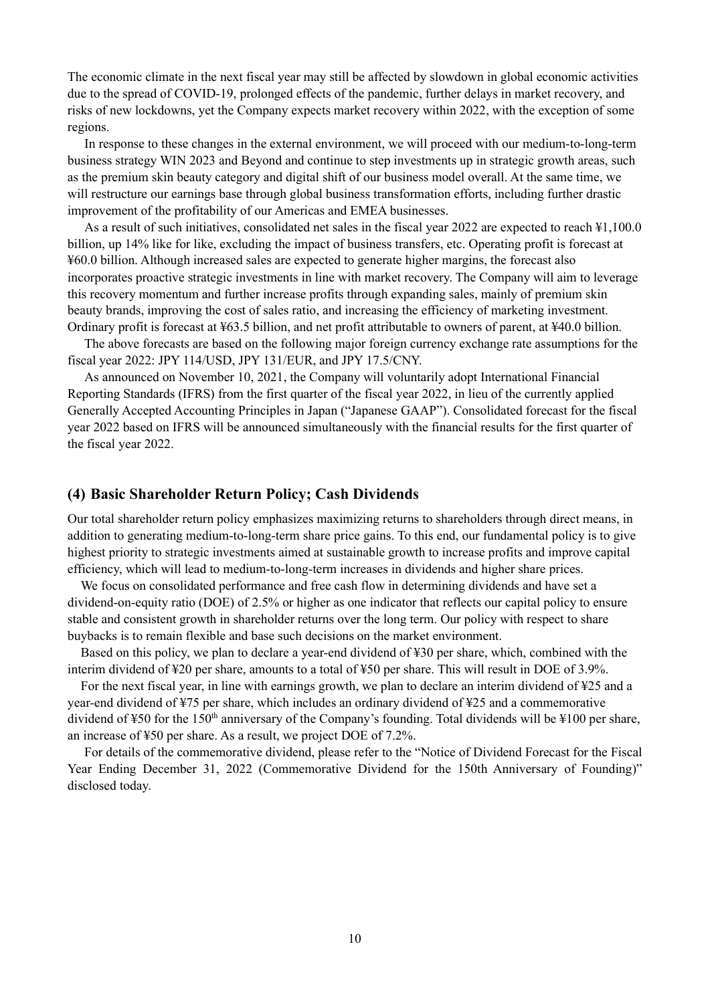The economic climate in the next fiscal year may still be affected by slowdown in global economic activities due to the spread of COVID-19, prolonged effects of the pandemic, further delays in market recovery, and risks of new lockdowns, yet the Company expects market recovery within 2022, with the exception of some regions.

In response to these changes in the external environment, we will proceed with our medium-to-long-term business strategy WIN 2023 and Beyond and continue to step investments up in strategic growth areas, such as the premium skin beauty category and digital shift of our business model overall. At the same time, we will restructure our earnings base through global business transformation efforts, including further drastic improvement of the profitability of our Americas and EMEA businesses.

As a result of such initiatives, consolidated net sales in the fiscal year 2022 are expected to reach ¥1,100.0 billion, up 14% like for like, excluding the impact of business transfers, etc. Operating profit is forecast at ¥60.0 billion. Although increased sales are expected to generate higher margins, the forecast also incorporates proactive strategic investments in line with market recovery. The Company will aim to leverage this recovery momentum and further increase profits through expanding sales, mainly of premium skin beauty brands, improving the cost of sales ratio, and increasing the efficiency of marketing investment. Ordinary profit is forecast at ¥63.5 billion, and net profit attributable to owners of parent, at ¥40.0 billion.

The above forecasts are based on the following major foreign currency exchange rate assumptions for the fiscal year 2022: JPY 114/USD, JPY 131/EUR, and JPY 17.5/CNY.

As announced on November 10, 2021, the Company will voluntarily adopt International Financial Reporting Standards (IFRS) from the first quarter of the fiscal year 2022, in lieu of the currently applied Generally Accepted Accounting Principles in Japan ("Japanese GAAP"). Consolidated forecast for the fiscal year 2022 based on IFRS will be announced simultaneously with the financial results for the first quarter of the fiscal year 2022.

#### <span id="page-13-0"></span>**(4) Basic Shareholder Return Policy; Cash Dividends**

Our total shareholder return policy emphasizes maximizing returns to shareholders through direct means, in addition to generating medium-to-long-term share price gains. To this end, our fundamental policy is to give highest priority to strategic investments aimed at sustainable growth to increase profits and improve capital efficiency, which will lead to medium-to-long-term increases in dividends and higher share prices.

We focus on consolidated performance and free cash flow in determining dividends and have set a dividend-on-equity ratio (DOE) of 2.5% or higher as one indicator that reflects our capital policy to ensure stable and consistent growth in shareholder returns over the long term. Our policy with respect to share buybacks is to remain flexible and base such decisions on the market environment.

Based on this policy, we plan to declare a year-end dividend of ¥30 per share, which, combined with the interim dividend of ¥20 per share, amounts to a total of ¥50 per share. This will result in DOE of 3.9%.

For the next fiscal year, in line with earnings growth, we plan to declare an interim dividend of ¥25 and a year-end dividend of ¥75 per share, which includes an ordinary dividend of ¥25 and a commemorative dividend of  $\text{\textsterling}50$  for the 150<sup>th</sup> anniversary of the Company's founding. Total dividends will be  $\text{\textsterling}100$  per share, an increase of ¥50 per share. As a result, we project DOE of 7.2%.

For details of the commemorative dividend, please refer to the "Notice of Dividend Forecast for the Fiscal Year Ending December 31, 2022 (Commemorative Dividend for the 150th Anniversary of Founding)" disclosed today.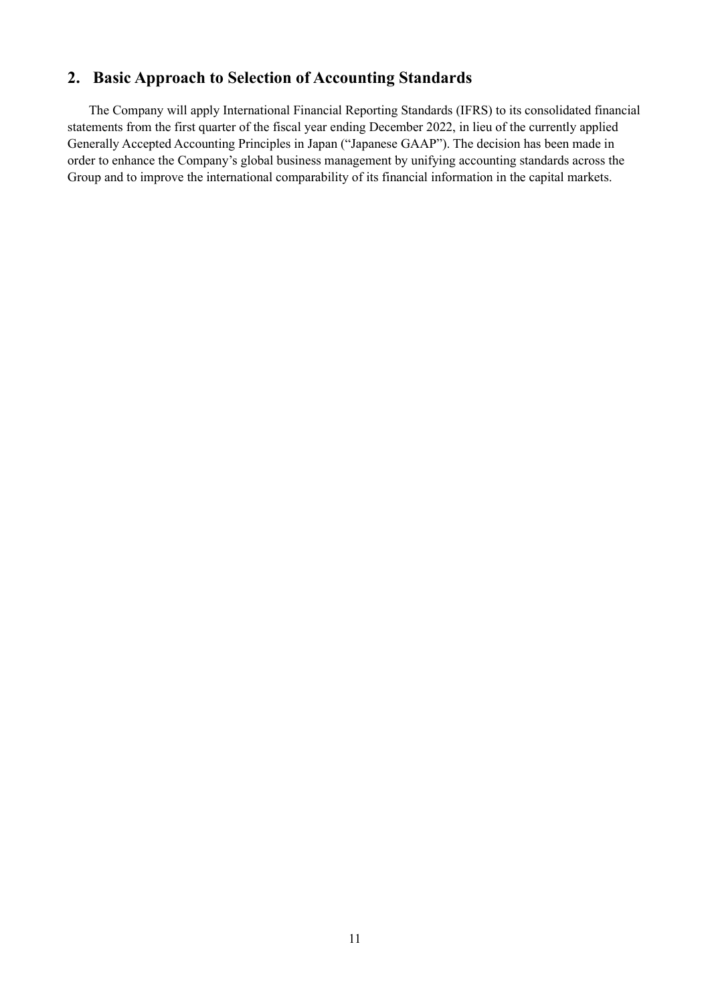## <span id="page-14-0"></span>**2. Basic Approach to Selection of Accounting Standards**

The Company will apply International Financial Reporting Standards (IFRS) to its consolidated financial statements from the first quarter of the fiscal year ending December 2022, in lieu of the currently applied Generally Accepted Accounting Principles in Japan ("Japanese GAAP"). The decision has been made in order to enhance the Company's global business management by unifying accounting standards across the Group and to improve the international comparability of its financial information in the capital markets.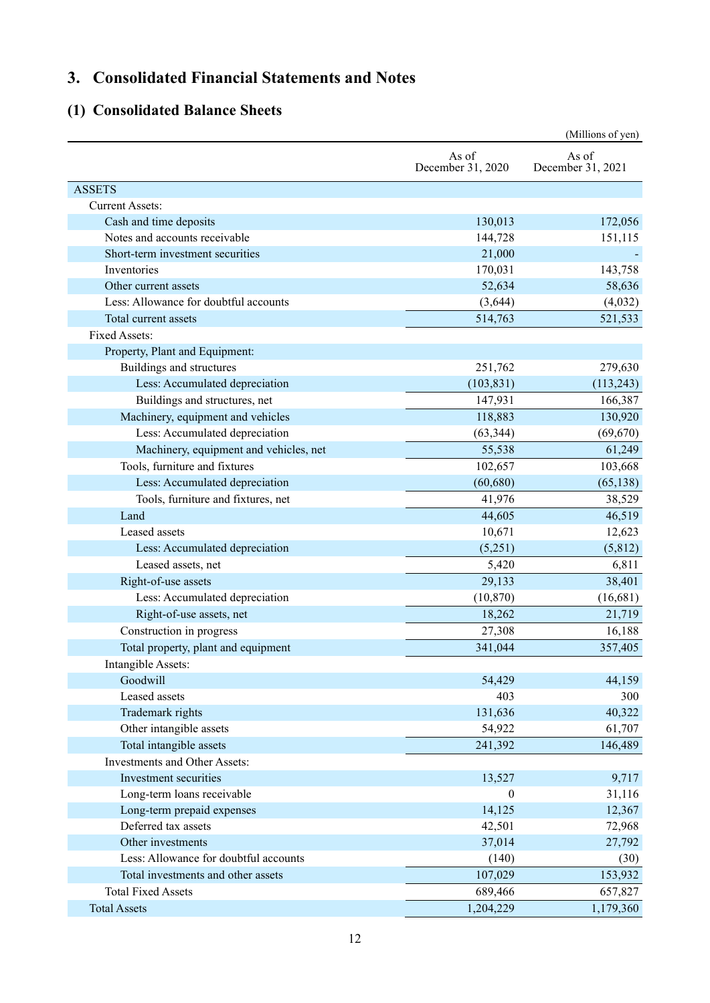# <span id="page-15-0"></span>**3. Consolidated Financial Statements and Notes**

## <span id="page-15-1"></span>**(1) Consolidated Balance Sheets**

|                                        |                            | (Millions of yen)          |
|----------------------------------------|----------------------------|----------------------------|
|                                        | As of<br>December 31, 2020 | As of<br>December 31, 2021 |
| <b>ASSETS</b>                          |                            |                            |
| <b>Current Assets:</b>                 |                            |                            |
| Cash and time deposits                 | 130,013                    | 172,056                    |
| Notes and accounts receivable          | 144,728                    | 151,115                    |
| Short-term investment securities       | 21,000                     |                            |
| Inventories                            | 170,031                    | 143,758                    |
| Other current assets                   | 52,634                     | 58,636                     |
| Less: Allowance for doubtful accounts  | (3,644)                    | (4,032)                    |
| Total current assets                   | 514,763                    | 521,533                    |
| Fixed Assets:                          |                            |                            |
| Property, Plant and Equipment:         |                            |                            |
| Buildings and structures               | 251,762                    | 279,630                    |
| Less: Accumulated depreciation         | (103, 831)                 | (113, 243)                 |
| Buildings and structures, net          | 147,931                    | 166,387                    |
| Machinery, equipment and vehicles      | 118,883                    | 130,920                    |
| Less: Accumulated depreciation         | (63, 344)                  | (69, 670)                  |
| Machinery, equipment and vehicles, net | 55,538                     | 61,249                     |
| Tools, furniture and fixtures          | 102,657                    | 103,668                    |
| Less: Accumulated depreciation         | (60, 680)                  | (65, 138)                  |
| Tools, furniture and fixtures, net     | 41,976                     | 38,529                     |
| Land                                   | 44,605                     | 46,519                     |
| Leased assets                          | 10,671                     | 12,623                     |
| Less: Accumulated depreciation         | (5,251)                    | (5,812)                    |
| Leased assets, net                     | 5,420                      | 6,811                      |
| Right-of-use assets                    | 29,133                     | 38,401                     |
| Less: Accumulated depreciation         | (10, 870)                  | (16,681)                   |
| Right-of-use assets, net               | 18,262                     | 21,719                     |
| Construction in progress               | 27,308                     | 16,188                     |
| Total property, plant and equipment    | 341,044                    | 357,405                    |
| Intangible Assets:                     |                            |                            |
| Goodwill                               | 54,429                     | 44,159                     |
| Leased assets                          | 403                        | 300                        |
| Trademark rights                       | 131,636                    | 40,322                     |
| Other intangible assets                | 54,922                     | 61,707                     |
| Total intangible assets                | 241,392                    | 146,489                    |
| Investments and Other Assets:          |                            |                            |
| Investment securities                  | 13,527                     | 9,717                      |
| Long-term loans receivable             | $\boldsymbol{0}$           | 31,116                     |
| Long-term prepaid expenses             | 14,125                     | 12,367                     |
| Deferred tax assets                    | 42,501                     | 72,968                     |
| Other investments                      | 37,014                     | 27,792                     |
| Less: Allowance for doubtful accounts  | (140)                      | (30)                       |
| Total investments and other assets     | 107,029                    | 153,932                    |
| <b>Total Fixed Assets</b>              | 689,466                    | 657,827                    |
| <b>Total Assets</b>                    | 1,204,229                  | 1,179,360                  |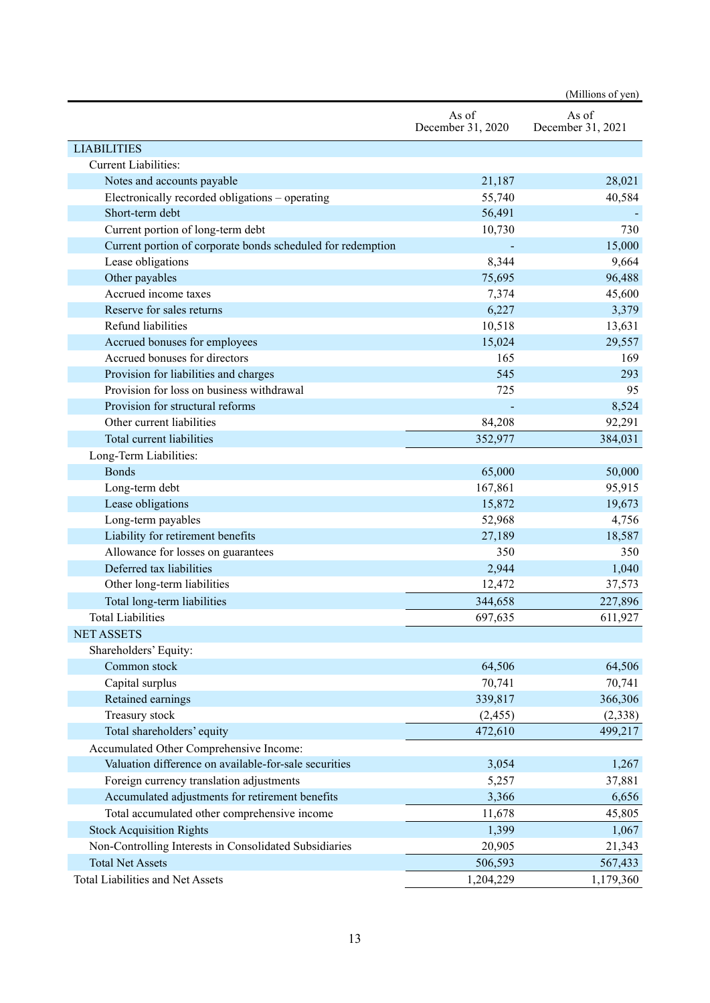|                                                             |                            | (Millions of yen)          |
|-------------------------------------------------------------|----------------------------|----------------------------|
|                                                             | As of<br>December 31, 2020 | As of<br>December 31, 2021 |
| <b>LIABILITIES</b>                                          |                            |                            |
| <b>Current Liabilities:</b>                                 |                            |                            |
| Notes and accounts payable                                  | 21,187                     | 28,021                     |
| Electronically recorded obligations - operating             | 55,740                     | 40,584                     |
| Short-term debt                                             | 56,491                     |                            |
| Current portion of long-term debt                           | 10,730                     | 730                        |
| Current portion of corporate bonds scheduled for redemption |                            | 15,000                     |
| Lease obligations                                           | 8,344                      | 9,664                      |
| Other payables                                              | 75,695                     | 96,488                     |
| Accrued income taxes                                        | 7,374                      | 45,600                     |
| Reserve for sales returns                                   | 6,227                      | 3,379                      |
| Refund liabilities                                          | 10,518                     | 13,631                     |
| Accrued bonuses for employees                               | 15,024                     | 29,557                     |
| Accrued bonuses for directors                               | 165                        | 169                        |
| Provision for liabilities and charges                       | 545                        | 293                        |
| Provision for loss on business withdrawal                   | 725                        | 95                         |
| Provision for structural reforms                            |                            | 8,524                      |
| Other current liabilities                                   | 84,208                     | 92,291                     |
| Total current liabilities                                   | 352,977                    | 384,031                    |
| Long-Term Liabilities:                                      |                            |                            |
| <b>Bonds</b>                                                | 65,000                     | 50,000                     |
| Long-term debt                                              | 167,861                    | 95,915                     |
| Lease obligations                                           | 15,872                     | 19,673                     |
| Long-term payables                                          | 52,968                     | 4,756                      |
| Liability for retirement benefits                           | 27,189                     | 18,587                     |
| Allowance for losses on guarantees                          | 350                        | 350                        |
| Deferred tax liabilities                                    | 2,944                      | 1,040                      |
| Other long-term liabilities                                 | 12,472                     | 37,573                     |
| Total long-term liabilities                                 | 344,658                    | 227,896                    |
| <b>Total Liabilities</b>                                    | 697,635                    | 611,927                    |
| <b>NET ASSETS</b>                                           |                            |                            |
| Shareholders' Equity:                                       |                            |                            |
| Common stock                                                | 64,506                     | 64,506                     |
| Capital surplus                                             | 70,741                     | 70,741                     |
| Retained earnings                                           | 339,817                    | 366,306                    |
| Treasury stock                                              | (2, 455)                   | (2,338)                    |
| Total shareholders' equity                                  | 472,610                    | 499,217                    |
| Accumulated Other Comprehensive Income:                     |                            |                            |
| Valuation difference on available-for-sale securities       | 3,054                      | 1,267                      |
| Foreign currency translation adjustments                    | 5,257                      | 37,881                     |
| Accumulated adjustments for retirement benefits             | 3,366                      | 6,656                      |
| Total accumulated other comprehensive income                | 11,678                     | 45,805                     |
| <b>Stock Acquisition Rights</b>                             | 1,399                      | 1,067                      |
| Non-Controlling Interests in Consolidated Subsidiaries      | 20,905                     | 21,343                     |
| <b>Total Net Assets</b>                                     | 506,593                    |                            |
| Total Liabilities and Net Assets                            | 1,204,229                  | 567,433                    |
|                                                             |                            | 1,179,360                  |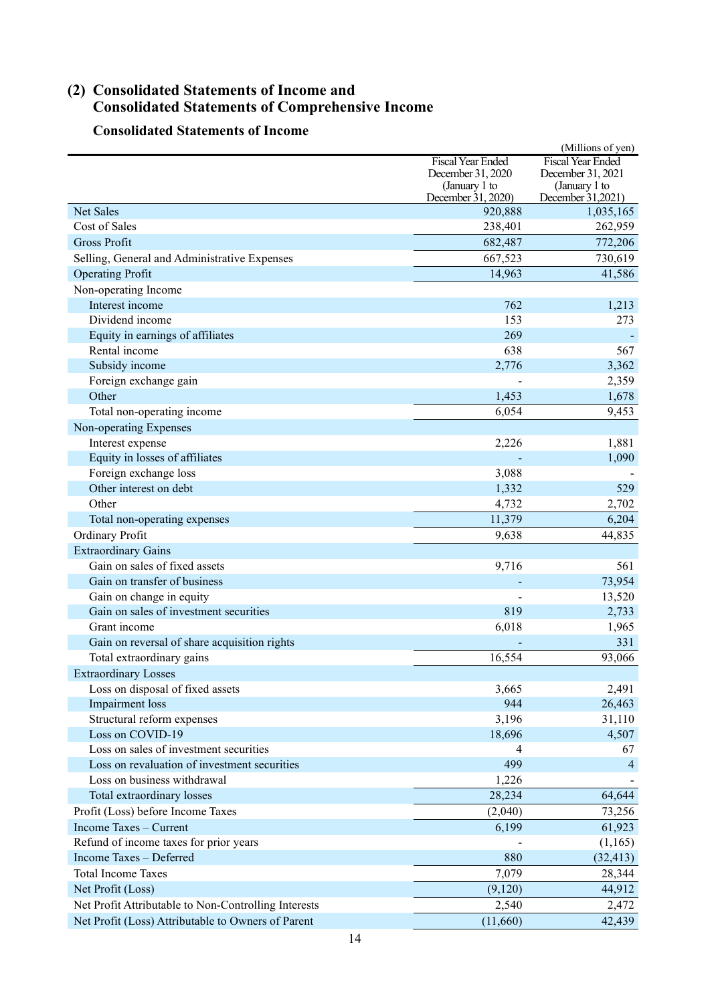## <span id="page-17-0"></span>**(2) Consolidated Statements of Income and Consolidated Statements of Comprehensive Income**

## **Consolidated Statements of Income**

|                                                      |                                    | (Millions of yen)                  |
|------------------------------------------------------|------------------------------------|------------------------------------|
|                                                      | <b>Fiscal Year Ended</b>           | <b>Fiscal Year Ended</b>           |
|                                                      | December 31, 2020<br>(January 1 to | December 31, 2021<br>(January 1 to |
|                                                      | December 31, 2020)                 | December 31,2021)                  |
| Net Sales                                            | 920,888                            | 1,035,165                          |
| Cost of Sales                                        | 238,401                            | 262,959                            |
| <b>Gross Profit</b>                                  | 682,487                            | 772,206                            |
| Selling, General and Administrative Expenses         | 667,523                            | 730,619                            |
| <b>Operating Profit</b>                              | 14,963                             | 41,586                             |
| Non-operating Income                                 |                                    |                                    |
| Interest income                                      | 762                                | 1,213                              |
| Dividend income                                      | 153                                | 273                                |
| Equity in earnings of affiliates                     | 269                                |                                    |
| Rental income                                        | 638                                | 567                                |
| Subsidy income                                       | 2,776                              | 3,362                              |
| Foreign exchange gain                                |                                    | 2,359                              |
| Other                                                | 1,453                              | 1,678                              |
| Total non-operating income                           | 6,054                              | 9,453                              |
| Non-operating Expenses                               |                                    |                                    |
| Interest expense                                     | 2,226                              | 1,881                              |
| Equity in losses of affiliates                       |                                    | 1,090                              |
| Foreign exchange loss                                | 3,088                              |                                    |
| Other interest on debt                               | 1,332                              | 529                                |
| Other                                                | 4,732                              | 2,702                              |
| Total non-operating expenses                         | 11,379                             | 6,204                              |
| Ordinary Profit                                      | 9,638                              | 44,835                             |
| <b>Extraordinary Gains</b>                           |                                    |                                    |
| Gain on sales of fixed assets                        | 9,716                              | 561                                |
| Gain on transfer of business                         |                                    | 73,954                             |
| Gain on change in equity                             |                                    | 13,520                             |
| Gain on sales of investment securities               | 819                                | 2,733                              |
| Grant income                                         | 6,018                              | 1,965                              |
| Gain on reversal of share acquisition rights         |                                    | 331                                |
| Total extraordinary gains                            | 16,554                             | 93,066                             |
| <b>Extraordinary Losses</b>                          |                                    |                                    |
| Loss on disposal of fixed assets                     | 3,665                              | 2,491                              |
| Impairment loss                                      | 944                                | 26,463                             |
| Structural reform expenses                           | 3,196                              | 31,110                             |
| Loss on COVID-19                                     | 18,696                             | 4,507                              |
| Loss on sales of investment securities               | 4                                  | 67                                 |
| Loss on revaluation of investment securities         | 499                                | 4                                  |
| Loss on business withdrawal                          | 1,226                              |                                    |
| Total extraordinary losses                           | 28,234                             | 64,644                             |
| Profit (Loss) before Income Taxes                    | (2,040)                            | 73,256                             |
| Income Taxes - Current                               |                                    |                                    |
| Refund of income taxes for prior years               | 6,199                              | 61,923                             |
|                                                      |                                    | (1,165)                            |
| Income Taxes - Deferred<br><b>Total Income Taxes</b> | 880                                | (32, 413)                          |
|                                                      | 7,079                              | 28,344                             |
| Net Profit (Loss)                                    | (9,120)                            | 44,912                             |
| Net Profit Attributable to Non-Controlling Interests | 2,540                              | 2,472                              |
| Net Profit (Loss) Attributable to Owners of Parent   | (11,660)                           | 42,439                             |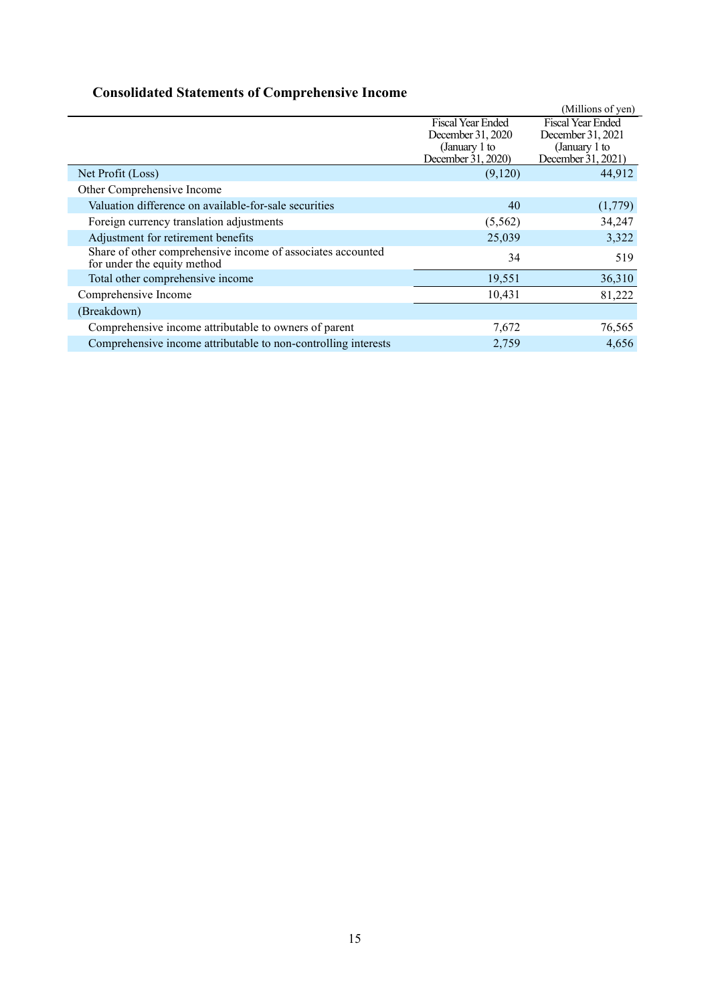# **Consolidated Statements of Comprehensive Income**

|                                                                                            |                    | (Millions of yen)        |
|--------------------------------------------------------------------------------------------|--------------------|--------------------------|
|                                                                                            | Fiscal Year Ended  | <b>Fiscal Year Ended</b> |
|                                                                                            | December 31, 2020  | December 31, 2021        |
|                                                                                            | (January 1 to      | (January 1 to            |
|                                                                                            | December 31, 2020) | December 31, 2021)       |
| Net Profit (Loss)                                                                          | (9,120)            | 44,912                   |
| Other Comprehensive Income                                                                 |                    |                          |
| Valuation difference on available-for-sale securities                                      | 40                 | (1,779)                  |
| Foreign currency translation adjustments                                                   | (5, 562)           | 34,247                   |
| Adjustment for retirement benefits                                                         | 25,039             | 3,322                    |
| Share of other comprehensive income of associates accounted<br>for under the equity method | 34                 | 519                      |
| Total other comprehensive income                                                           | 19,551             | 36,310                   |
| Comprehensive Income                                                                       | 10,431             | 81,222                   |
| (Breakdown)                                                                                |                    |                          |
| Comprehensive income attributable to owners of parent                                      | 7,672              | 76,565                   |
| Comprehensive income attributable to non-controlling interests                             | 2,759              | 4.656                    |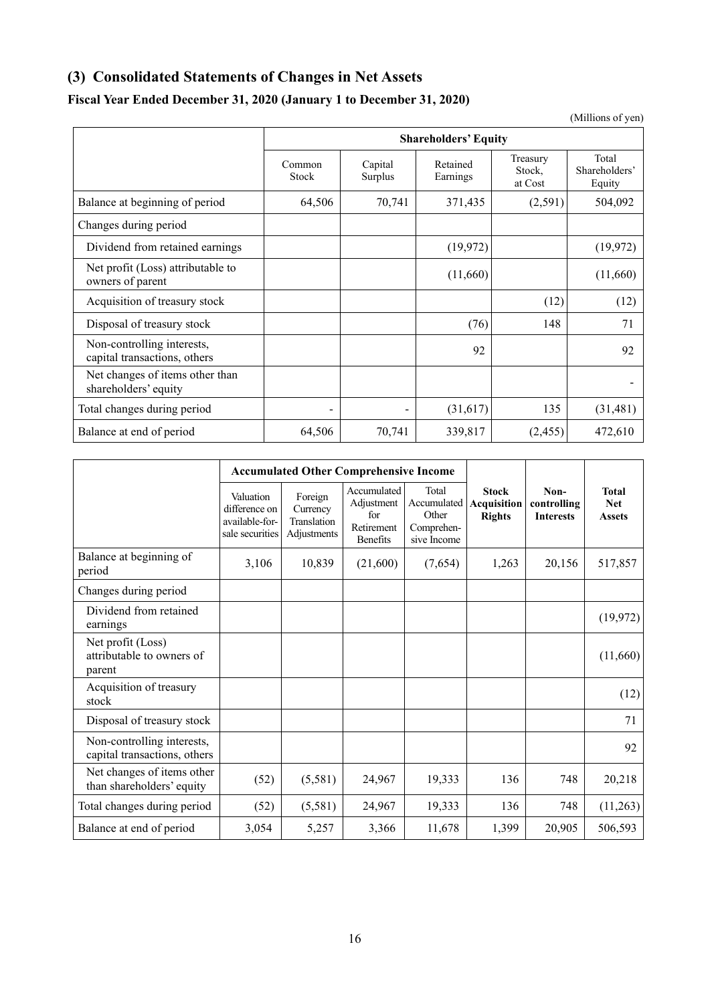## <span id="page-19-0"></span>**(3) Consolidated Statements of Changes in Net Assets**

## **Fiscal Year Ended December 31, 2020 (January 1 to December 31, 2020)**

**Shareholders' Equity** Common Stock Capital Surplus Retained Earnings Treasury Stock, at Cost Total Shareholders' Equity Balance at beginning of period 64,506 70,741 371,435 (2,591) 504,092 Changes during period Dividend from retained earnings (19,972) (19,972) (19,972) Net profit (Loss) attributable to  $\frac{1}{\text{vert point (Loss) attribute to}}$  (11,660) (11,660) Acquisition of treasury stock (12) (12) (12) Disposal of treasury stock (76) 148 71 Non-controlling interests, capital transactions, others and the control of the control of the control of the control of the control of the control of the control of the control of the control of the control of the control of the control of the contr Net changes of items other than shareholders' equity and the contract that the contract of the contract of the contract of the contract of the contract of the contract of the contract of the contract of the contract of the contract of the contract of the Total changes during period  $(31,617)$   $135$   $(31,481)$ 

Balance at end of period 64,506 70,741 339,817 (2,455) 472,610

|                                                            | <b>Accumulated Other Comprehensive Income</b>                   |                                                   |                                                                   |                                                            |                                              |                                         |                                             |
|------------------------------------------------------------|-----------------------------------------------------------------|---------------------------------------------------|-------------------------------------------------------------------|------------------------------------------------------------|----------------------------------------------|-----------------------------------------|---------------------------------------------|
|                                                            | Valuation<br>difference on<br>available-for-<br>sale securities | Foreign<br>Currency<br>Translation<br>Adjustments | Accumulated<br>Adjustment<br>for<br>Retirement<br><b>Benefits</b> | Total<br>Accumulated<br>Other<br>Comprehen-<br>sive Income | <b>Stock</b><br>Acquisition<br><b>Rights</b> | Non-<br>controlling<br><b>Interests</b> | <b>Total</b><br><b>Net</b><br><b>Assets</b> |
| Balance at beginning of<br>period                          | 3,106                                                           | 10,839                                            | (21,600)                                                          | (7,654)                                                    | 1,263                                        | 20,156                                  | 517,857                                     |
| Changes during period                                      |                                                                 |                                                   |                                                                   |                                                            |                                              |                                         |                                             |
| Dividend from retained<br>earnings                         |                                                                 |                                                   |                                                                   |                                                            |                                              |                                         | (19, 972)                                   |
| Net profit (Loss)<br>attributable to owners of<br>parent   |                                                                 |                                                   |                                                                   |                                                            |                                              |                                         | (11,660)                                    |
| Acquisition of treasury<br>stock                           |                                                                 |                                                   |                                                                   |                                                            |                                              |                                         | (12)                                        |
| Disposal of treasury stock                                 |                                                                 |                                                   |                                                                   |                                                            |                                              |                                         | 71                                          |
| Non-controlling interests,<br>capital transactions, others |                                                                 |                                                   |                                                                   |                                                            |                                              |                                         | 92                                          |
| Net changes of items other<br>than shareholders' equity    | (52)                                                            | (5,581)                                           | 24,967                                                            | 19,333                                                     | 136                                          | 748                                     | 20,218                                      |
| Total changes during period                                | (52)                                                            | (5,581)                                           | 24,967                                                            | 19,333                                                     | 136                                          | 748                                     | (11,263)                                    |
| Balance at end of period                                   | 3,054                                                           | 5,257                                             | 3,366                                                             | 11,678                                                     | 1,399                                        | 20,905                                  | 506,593                                     |

(Millions of yen)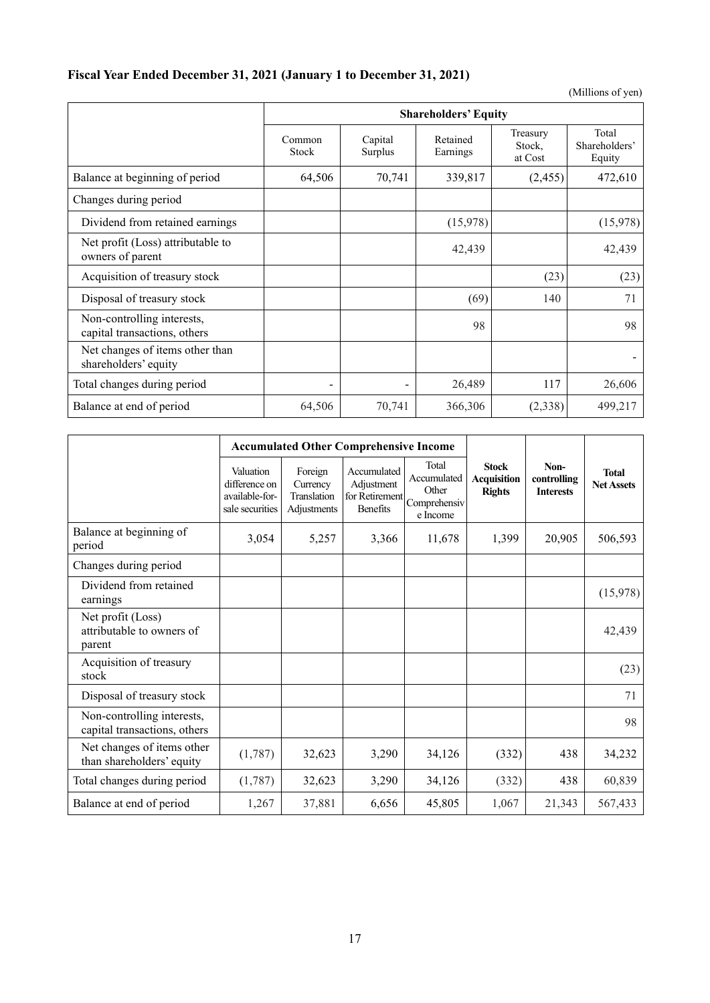## **Fiscal Year Ended December 31, 2021 (January 1 to December 31, 2021)**

(Millions of yen)

|                                                            |                 |                    | <b>Shareholders' Equity</b> |                               |                                  |
|------------------------------------------------------------|-----------------|--------------------|-----------------------------|-------------------------------|----------------------------------|
|                                                            | Common<br>Stock | Capital<br>Surplus | Retained<br>Earnings        | Treasury<br>Stock,<br>at Cost | Total<br>Shareholders'<br>Equity |
| Balance at beginning of period                             | 64,506          | 70,741             | 339,817                     | (2, 455)                      | 472,610                          |
| Changes during period                                      |                 |                    |                             |                               |                                  |
| Dividend from retained earnings                            |                 |                    | (15,978)                    |                               | (15,978)                         |
| Net profit (Loss) attributable to<br>owners of parent      |                 |                    | 42,439                      |                               | 42,439                           |
| Acquisition of treasury stock                              |                 |                    |                             | (23)                          | (23)                             |
| Disposal of treasury stock                                 |                 |                    | (69)                        | 140                           | 71                               |
| Non-controlling interests,<br>capital transactions, others |                 |                    | 98                          |                               | 98                               |
| Net changes of items other than<br>shareholders' equity    |                 |                    |                             |                               |                                  |
| Total changes during period                                |                 |                    | 26,489                      | 117                           | 26,606                           |
| Balance at end of period                                   | 64,506          | 70,741             | 366,306                     | (2,338)                       | 499,217                          |

|                                                            | <b>Accumulated Other Comprehensive Income</b>                   |                                                   |                                                                |                                                           |                                                     |                                         |                                   |
|------------------------------------------------------------|-----------------------------------------------------------------|---------------------------------------------------|----------------------------------------------------------------|-----------------------------------------------------------|-----------------------------------------------------|-----------------------------------------|-----------------------------------|
|                                                            | Valuation<br>difference on<br>available-for-<br>sale securities | Foreign<br>Currency<br>Translation<br>Adjustments | Accumulated<br>Adjustment<br>for Retirement<br><b>Benefits</b> | Total<br>Accumulated<br>Other<br>Comprehensiv<br>e Income | <b>Stock</b><br><b>Acquisition</b><br><b>Rights</b> | Non-<br>controlling<br><b>Interests</b> | <b>Total</b><br><b>Net Assets</b> |
| Balance at beginning of<br>period                          | 3,054                                                           | 5,257                                             | 3,366                                                          | 11,678                                                    | 1,399                                               | 20,905                                  | 506,593                           |
| Changes during period                                      |                                                                 |                                                   |                                                                |                                                           |                                                     |                                         |                                   |
| Dividend from retained<br>earnings                         |                                                                 |                                                   |                                                                |                                                           |                                                     |                                         | (15,978)                          |
| Net profit (Loss)<br>attributable to owners of<br>parent   |                                                                 |                                                   |                                                                |                                                           |                                                     |                                         | 42,439                            |
| Acquisition of treasury<br>stock                           |                                                                 |                                                   |                                                                |                                                           |                                                     |                                         | (23)                              |
| Disposal of treasury stock                                 |                                                                 |                                                   |                                                                |                                                           |                                                     |                                         | 71                                |
| Non-controlling interests,<br>capital transactions, others |                                                                 |                                                   |                                                                |                                                           |                                                     |                                         | 98                                |
| Net changes of items other<br>than shareholders' equity    | (1,787)                                                         | 32,623                                            | 3,290                                                          | 34,126                                                    | (332)                                               | 438                                     | 34,232                            |
| Total changes during period                                | (1,787)                                                         | 32,623                                            | 3,290                                                          | 34,126                                                    | (332)                                               | 438                                     | 60,839                            |
| Balance at end of period                                   | 1,267                                                           | 37,881                                            | 6,656                                                          | 45,805                                                    | 1,067                                               | 21,343                                  | 567,433                           |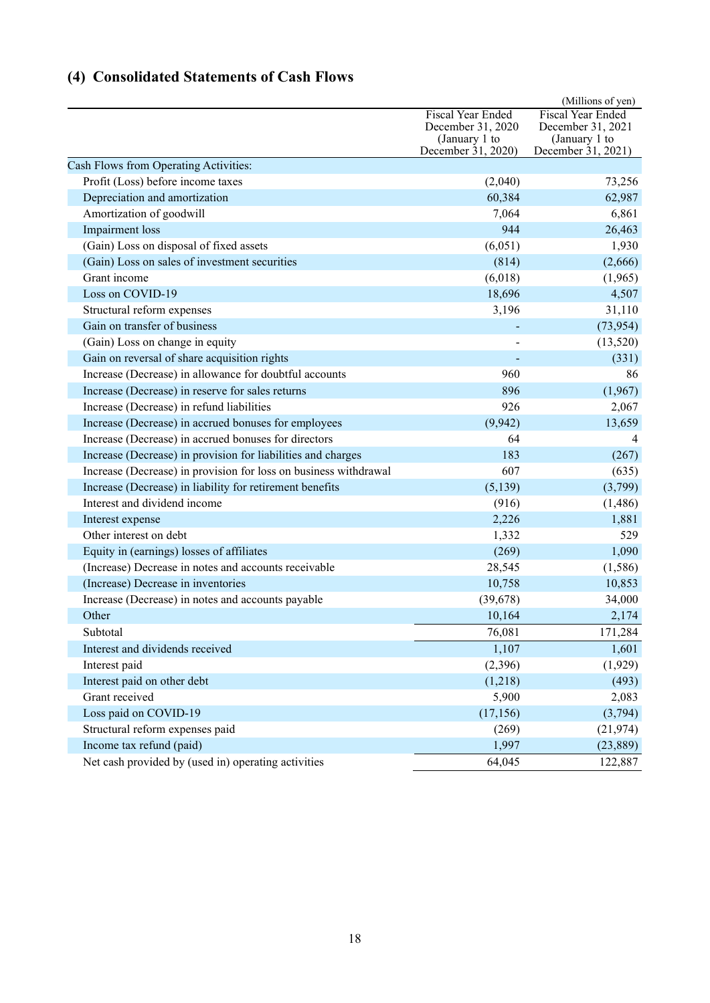# <span id="page-21-0"></span>**(4) Consolidated Statements of Cash Flows**

|                                                                  |                                                         | (Millions of yen)                                              |
|------------------------------------------------------------------|---------------------------------------------------------|----------------------------------------------------------------|
|                                                                  | Fiscal Year Ended<br>December 31, 2020<br>(January 1 to | <b>Fiscal Year Ended</b><br>December 31, 2021<br>(January 1 to |
|                                                                  | December 31, 2020)                                      | December 31, 2021)                                             |
| Cash Flows from Operating Activities:                            |                                                         |                                                                |
| Profit (Loss) before income taxes                                | (2,040)                                                 | 73,256                                                         |
| Depreciation and amortization                                    | 60,384                                                  | 62,987                                                         |
| Amortization of goodwill                                         | 7,064                                                   | 6,861                                                          |
| Impairment loss                                                  | 944                                                     | 26,463                                                         |
| (Gain) Loss on disposal of fixed assets                          | (6,051)                                                 | 1,930                                                          |
| (Gain) Loss on sales of investment securities                    | (814)                                                   | (2,666)                                                        |
| Grant income                                                     | (6,018)                                                 | (1,965)                                                        |
| Loss on COVID-19                                                 | 18,696                                                  | 4,507                                                          |
| Structural reform expenses                                       | 3,196                                                   | 31,110                                                         |
| Gain on transfer of business                                     |                                                         | (73, 954)                                                      |
| (Gain) Loss on change in equity                                  |                                                         | (13,520)                                                       |
| Gain on reversal of share acquisition rights                     |                                                         | (331)                                                          |
| Increase (Decrease) in allowance for doubtful accounts           | 960                                                     | 86                                                             |
| Increase (Decrease) in reserve for sales returns                 | 896                                                     | (1,967)                                                        |
| Increase (Decrease) in refund liabilities                        | 926                                                     | 2,067                                                          |
| Increase (Decrease) in accrued bonuses for employees             | (9,942)                                                 | 13,659                                                         |
| Increase (Decrease) in accrued bonuses for directors             | 64                                                      |                                                                |
| Increase (Decrease) in provision for liabilities and charges     | 183                                                     | (267)                                                          |
| Increase (Decrease) in provision for loss on business withdrawal | 607                                                     | (635)                                                          |
| Increase (Decrease) in liability for retirement benefits         | (5,139)                                                 | (3,799)                                                        |
| Interest and dividend income                                     | (916)                                                   | (1, 486)                                                       |
| Interest expense                                                 | 2,226                                                   | 1,881                                                          |
| Other interest on debt                                           | 1,332                                                   | 529                                                            |
| Equity in (earnings) losses of affiliates                        | (269)                                                   | 1,090                                                          |
| (Increase) Decrease in notes and accounts receivable             | 28,545                                                  | (1,586)                                                        |
| (Increase) Decrease in inventories                               | 10,758                                                  | 10,853                                                         |
| Increase (Decrease) in notes and accounts payable                | (39, 678)                                               | 34,000                                                         |
| Other                                                            | 10,164                                                  | 2,174                                                          |
| Subtotal                                                         | 76,081                                                  | 171,284                                                        |
| Interest and dividends received                                  | 1,107                                                   | 1,601                                                          |
| Interest paid                                                    | (2,396)                                                 | (1,929)                                                        |
| Interest paid on other debt                                      | (1,218)                                                 | (493)                                                          |
| Grant received                                                   | 5,900                                                   | 2,083                                                          |
| Loss paid on COVID-19                                            | (17, 156)                                               | (3,794)                                                        |
| Structural reform expenses paid                                  | (269)                                                   | (21, 974)                                                      |
| Income tax refund (paid)                                         | 1,997                                                   | (23, 889)                                                      |
| Net cash provided by (used in) operating activities              | 64,045                                                  | 122,887                                                        |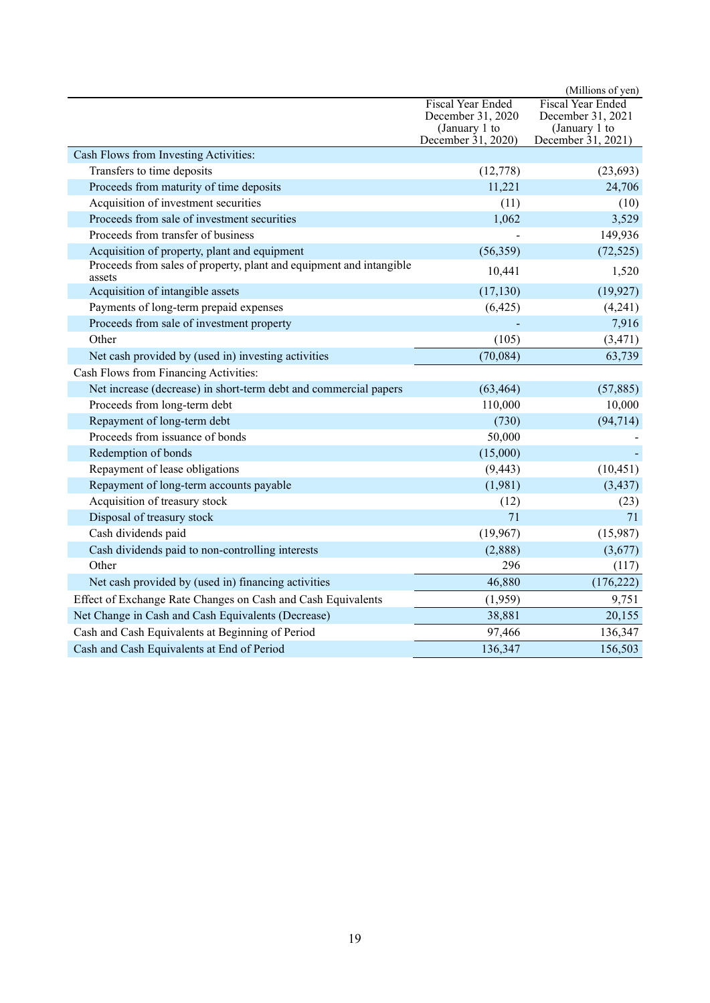|                                                                               |                                     | (Millions of yen)                   |
|-------------------------------------------------------------------------------|-------------------------------------|-------------------------------------|
|                                                                               | <b>Fiscal Year Ended</b>            | <b>Fiscal Year Ended</b>            |
|                                                                               | December 31, 2020                   | December 31, 2021                   |
|                                                                               | (January 1 to<br>December 31, 2020) | (January 1 to<br>December 31, 2021) |
| Cash Flows from Investing Activities:                                         |                                     |                                     |
| Transfers to time deposits                                                    | (12, 778)                           | (23, 693)                           |
| Proceeds from maturity of time deposits                                       | 11,221                              | 24,706                              |
| Acquisition of investment securities                                          | (11)                                | (10)                                |
| Proceeds from sale of investment securities                                   | 1,062                               | 3,529                               |
| Proceeds from transfer of business                                            |                                     | 149,936                             |
| Acquisition of property, plant and equipment                                  | (56, 359)                           | (72, 525)                           |
| Proceeds from sales of property, plant and equipment and intangible<br>assets | 10,441                              | 1,520                               |
| Acquisition of intangible assets                                              | (17, 130)                           | (19, 927)                           |
| Payments of long-term prepaid expenses                                        | (6,425)                             | (4,241)                             |
| Proceeds from sale of investment property                                     |                                     | 7,916                               |
| Other                                                                         | (105)                               | (3, 471)                            |
| Net cash provided by (used in) investing activities                           | (70,084)                            | 63,739                              |
| Cash Flows from Financing Activities:                                         |                                     |                                     |
| Net increase (decrease) in short-term debt and commercial papers              | (63, 464)                           | (57, 885)                           |
| Proceeds from long-term debt                                                  | 110,000                             | 10,000                              |
| Repayment of long-term debt                                                   | (730)                               | (94, 714)                           |
| Proceeds from issuance of bonds                                               | 50,000                              |                                     |
| Redemption of bonds                                                           | (15,000)                            |                                     |
| Repayment of lease obligations                                                | (9, 443)                            | (10, 451)                           |
| Repayment of long-term accounts payable                                       | (1,981)                             | (3, 437)                            |
| Acquisition of treasury stock                                                 | (12)                                | (23)                                |
| Disposal of treasury stock                                                    | 71                                  | 71                                  |
| Cash dividends paid                                                           | (19,967)                            | (15,987)                            |
| Cash dividends paid to non-controlling interests                              | (2,888)                             | (3,677)                             |
| Other                                                                         | 296                                 | (117)                               |
| Net cash provided by (used in) financing activities                           | 46,880                              | (176, 222)                          |
| Effect of Exchange Rate Changes on Cash and Cash Equivalents                  | (1,959)                             | 9,751                               |
| Net Change in Cash and Cash Equivalents (Decrease)                            | 38,881                              | 20,155                              |
| Cash and Cash Equivalents at Beginning of Period                              | 97,466                              | 136,347                             |
| Cash and Cash Equivalents at End of Period                                    | 136,347                             | 156,503                             |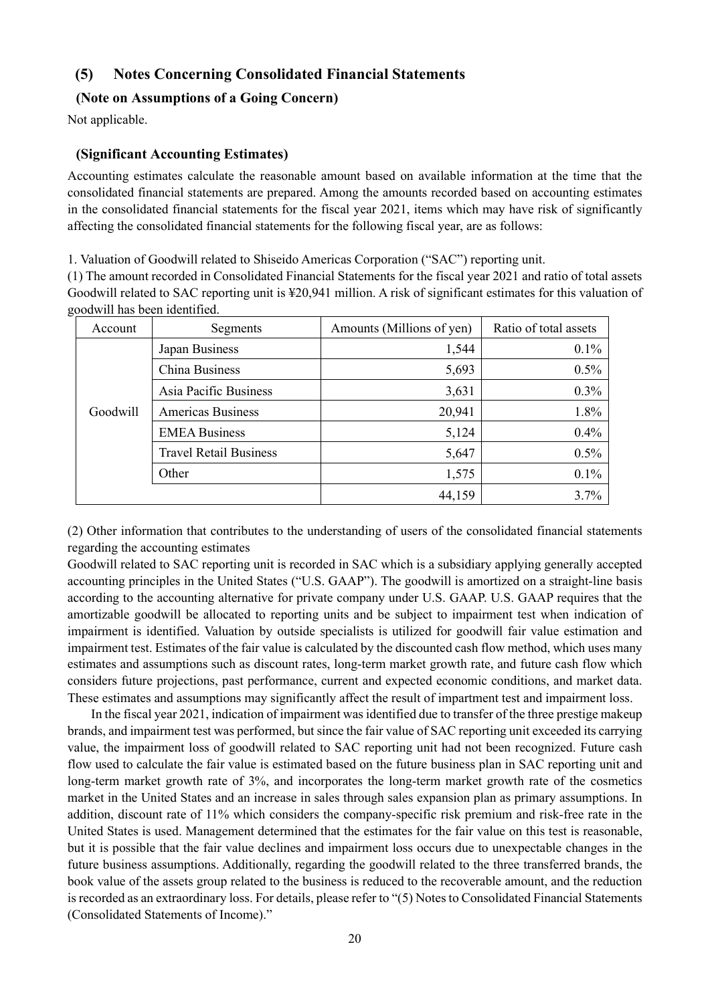## <span id="page-23-0"></span>**(5) Notes Concerning Consolidated Financial Statements**

### <span id="page-23-1"></span>**(Note on Assumptions of a Going Concern)**

Not applicable.

## <span id="page-23-2"></span>**(Significant Accounting Estimates)**

Accounting estimates calculate the reasonable amount based on available information at the time that the consolidated financial statements are prepared. Among the amounts recorded based on accounting estimates in the consolidated financial statements for the fiscal year 2021, items which may have risk of significantly affecting the consolidated financial statements for the following fiscal year, are as follows:

1. Valuation of Goodwill related to Shiseido Americas Corporation ("SAC") reporting unit.

(1) The amount recorded in Consolidated Financial Statements for the fiscal year 2021 and ratio of total assets Goodwill related to SAC reporting unit is ¥20,941 million. A risk of significant estimates for this valuation of goodwill has been identified.

| Account  | Segments                      | Amounts (Millions of yen) | Ratio of total assets |
|----------|-------------------------------|---------------------------|-----------------------|
|          | Japan Business                | 1,544                     | 0.1%                  |
|          | China Business                | 5,693                     | 0.5%                  |
|          | Asia Pacific Business         | 3,631                     | 0.3%                  |
| Goodwill | <b>Americas Business</b>      | 20,941                    | 1.8%                  |
|          | <b>EMEA Business</b>          | 5,124                     | 0.4%                  |
|          | <b>Travel Retail Business</b> | 5,647                     | 0.5%                  |
|          | Other                         | 1,575                     | 0.1%                  |
|          |                               | 44,159                    | 3.7%                  |

(2) Other information that contributes to the understanding of users of the consolidated financial statements regarding the accounting estimates

Goodwill related to SAC reporting unit is recorded in SAC which is a subsidiary applying generally accepted accounting principles in the United States ("U.S. GAAP"). The goodwill is amortized on a straight-line basis according to the accounting alternative for private company under U.S. GAAP. U.S. GAAP requires that the amortizable goodwill be allocated to reporting units and be subject to impairment test when indication of impairment is identified. Valuation by outside specialists is utilized for goodwill fair value estimation and impairment test. Estimates of the fair value is calculated by the discounted cash flow method, which uses many estimates and assumptions such as discount rates, long-term market growth rate, and future cash flow which considers future projections, past performance, current and expected economic conditions, and market data. These estimates and assumptions may significantly affect the result of impartment test and impairment loss.

In the fiscal year 2021, indication of impairment was identified due to transfer of the three prestige makeup brands, and impairment test was performed, but since the fair value of SAC reporting unit exceeded its carrying value, the impairment loss of goodwill related to SAC reporting unit had not been recognized. Future cash flow used to calculate the fair value is estimated based on the future business plan in SAC reporting unit and long-term market growth rate of 3%, and incorporates the long-term market growth rate of the cosmetics market in the United States and an increase in sales through sales expansion plan as primary assumptions. In addition, discount rate of 11% which considers the company-specific risk premium and risk-free rate in the United States is used. Management determined that the estimates for the fair value on this test is reasonable, but it is possible that the fair value declines and impairment loss occurs due to unexpectable changes in the future business assumptions. Additionally, regarding the goodwill related to the three transferred brands, the book value of the assets group related to the business is reduced to the recoverable amount, and the reduction is recorded as an extraordinary loss. For details, please refer to "(5) Notes to Consolidated Financial Statements (Consolidated Statements of Income)."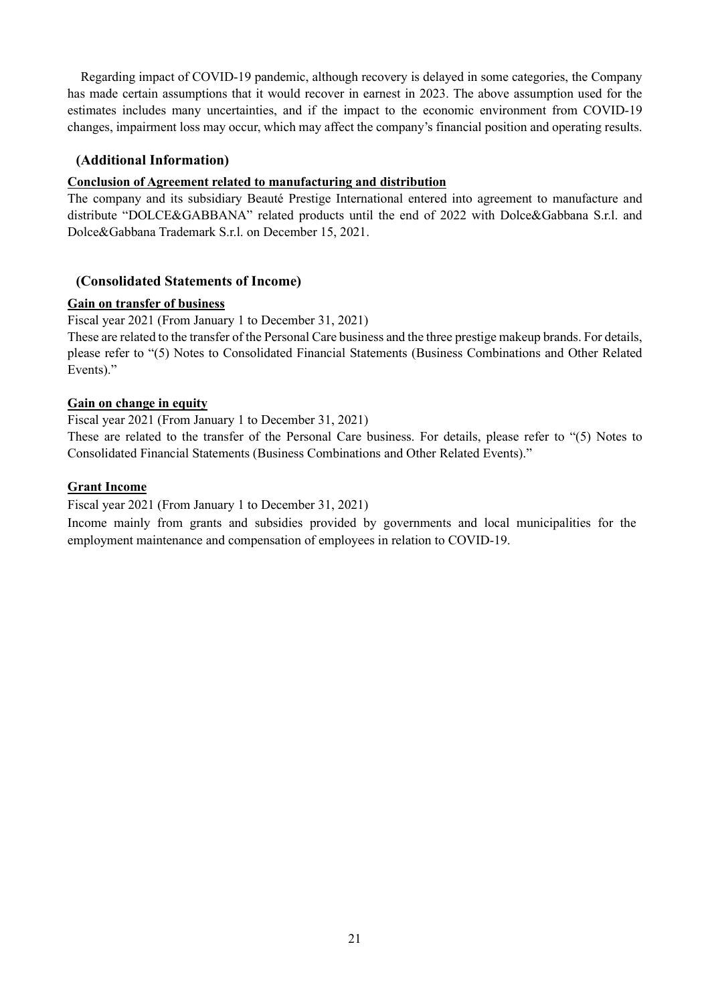Regarding impact of COVID-19 pandemic, although recovery is delayed in some categories, the Company has made certain assumptions that it would recover in earnest in 2023. The above assumption used for the estimates includes many uncertainties, and if the impact to the economic environment from COVID-19 changes, impairment loss may occur, which may affect the company's financial position and operating results.

## <span id="page-24-0"></span>**(Additional Information)**

### **Conclusion of Agreement related to manufacturing and distribution**

The company and its subsidiary Beauté Prestige International entered into agreement to manufacture and distribute "DOLCE&GABBANA" related products until the end of 2022 with Dolce&Gabbana S.r.l. and Dolce&Gabbana Trademark S.r.l. on December 15, 2021.

## <span id="page-24-1"></span>**(Consolidated Statements of Income)**

### **Gain on transfer of business**

Fiscal year 2021 (From January 1 to December 31, 2021)

These are related to the transfer of the Personal Care business and the three prestige makeup brands. For details, please refer to "(5) Notes to Consolidated Financial Statements (Business Combinations and Other Related Events)."

### **Gain on change in equity**

Fiscal year 2021 (From January 1 to December 31, 2021)

These are related to the transfer of the Personal Care business. For details, please refer to "(5) Notes to Consolidated Financial Statements (Business Combinations and Other Related Events)."

### **Grant Income**

Fiscal year 2021 (From January 1 to December 31, 2021)

Income mainly from grants and subsidies provided by governments and local municipalities for the employment maintenance and compensation of employees in relation to COVID-19.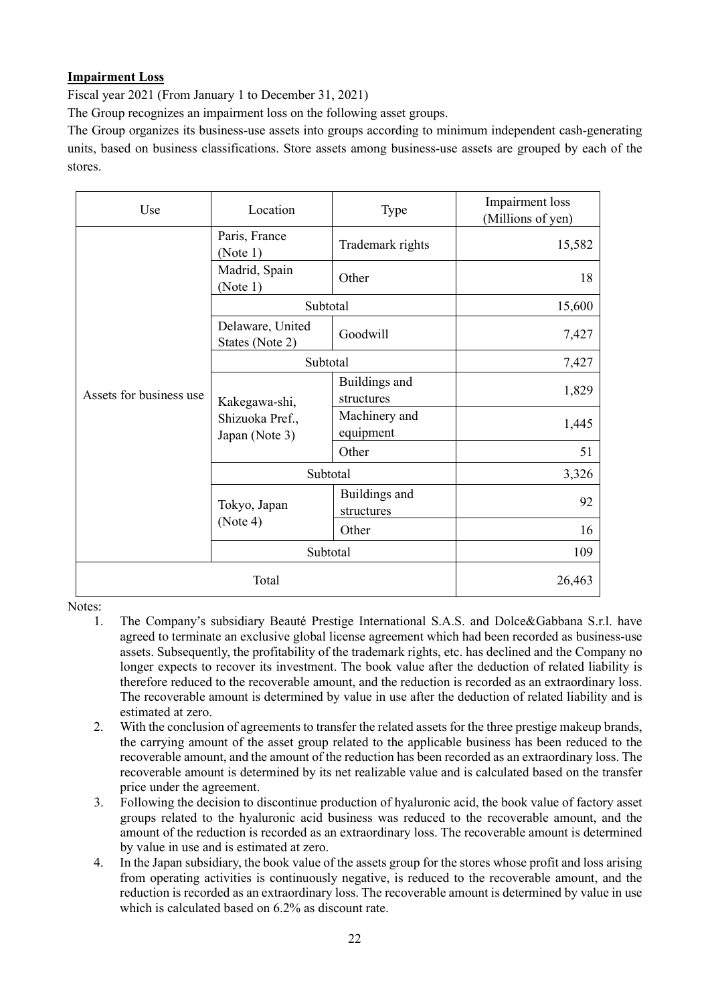## **Impairment Loss**

Fiscal year 2021 (From January 1 to December 31, 2021)

The Group recognizes an impairment loss on the following asset groups.

The Group organizes its business-use assets into groups according to minimum independent cash-generating units, based on business classifications. Store assets among business-use assets are grouped by each of the stores.

| Use                     | Location                            | Type                        | Impairment loss<br>(Millions of yen) |
|-------------------------|-------------------------------------|-----------------------------|--------------------------------------|
|                         | Paris, France<br>(Note 1)           | Trademark rights            | 15,582                               |
|                         | Madrid, Spain<br>(Note 1)           | Other                       | 18                                   |
|                         | Subtotal                            |                             | 15,600                               |
|                         | Delaware, United<br>States (Note 2) | Goodwill                    | 7,427                                |
|                         | Subtotal                            |                             | 7,427                                |
| Assets for business use | Kakegawa-shi,                       | Buildings and<br>structures | 1,829                                |
|                         | Shizuoka Pref.,<br>Japan (Note 3)   | Machinery and<br>equipment  | 1,445                                |
|                         |                                     | Other                       | 51                                   |
|                         | Subtotal                            |                             | 3,326                                |
|                         | Tokyo, Japan                        | Buildings and<br>structures | 92                                   |
|                         | (Note 4)                            | Other                       | 16                                   |
|                         | Subtotal                            |                             | 109                                  |
| Total                   |                                     | 26,463                      |                                      |

Notes:

- 1. The Company's subsidiary Beauté Prestige International S.A.S. and Dolce&Gabbana S.r.l. have agreed to terminate an exclusive global license agreement which had been recorded as business-use assets. Subsequently, the profitability of the trademark rights, etc. has declined and the Company no longer expects to recover its investment. The book value after the deduction of related liability is therefore reduced to the recoverable amount, and the reduction is recorded as an extraordinary loss. The recoverable amount is determined by value in use after the deduction of related liability and is estimated at zero.
- 2. With the conclusion of agreements to transfer the related assets for the three prestige makeup brands, the carrying amount of the asset group related to the applicable business has been reduced to the recoverable amount, and the amount of the reduction has been recorded as an extraordinary loss. The recoverable amount is determined by its net realizable value and is calculated based on the transfer price under the agreement.
- 3. Following the decision to discontinue production of hyaluronic acid, the book value of factory asset groups related to the hyaluronic acid business was reduced to the recoverable amount, and the amount of the reduction is recorded as an extraordinary loss. The recoverable amount is determined by value in use and is estimated at zero.
- 4. In the Japan subsidiary, the book value of the assets group for the stores whose profit and loss arising from operating activities is continuously negative, is reduced to the recoverable amount, and the reduction is recorded as an extraordinary loss. The recoverable amount is determined by value in use which is calculated based on 6.2% as discount rate.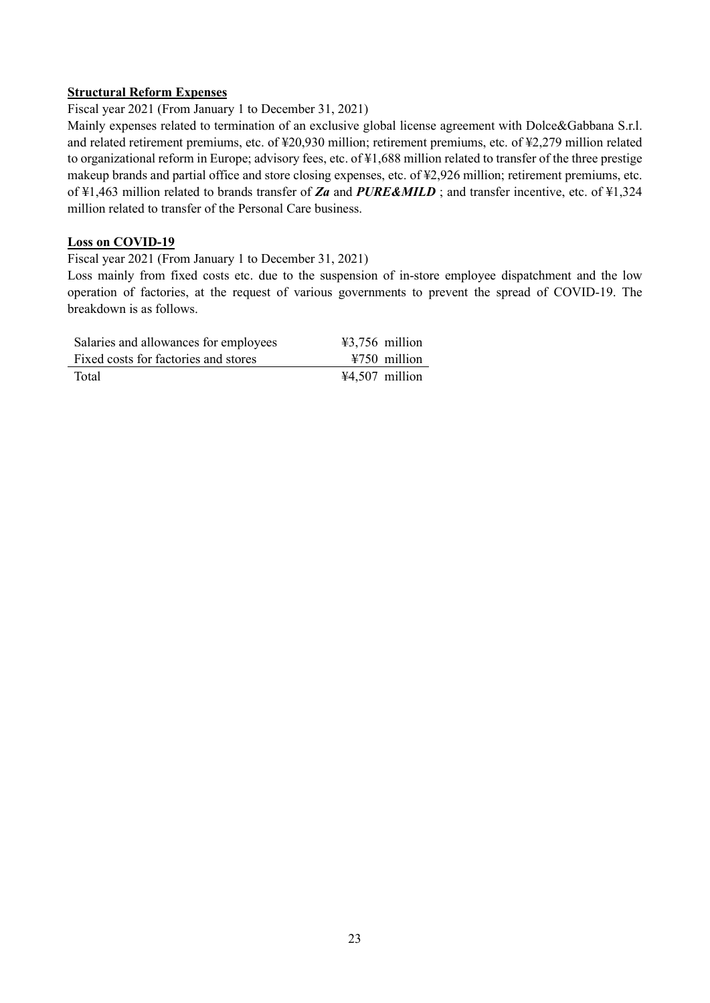### **Structural Reform Expenses**

Fiscal year 2021 (From January 1 to December 31, 2021)

Mainly expenses related to termination of an exclusive global license agreement with Dolce&Gabbana S.r.l. and related retirement premiums, etc. of ¥20,930 million; retirement premiums, etc. of ¥2,279 million related to organizational reform in Europe; advisory fees, etc. of ¥1,688 million related to transfer of the three prestige makeup brands and partial office and store closing expenses, etc. of ¥2,926 million; retirement premiums, etc. of ¥1,463 million related to brands transfer of *Za* and *PURE&MILD* ; and transfer incentive, etc. of ¥1,324 million related to transfer of the Personal Care business.

#### **Loss on COVID-19**

Fiscal year 2021 (From January 1 to December 31, 2021)

Loss mainly from fixed costs etc. due to the suspension of in-store employee dispatchment and the low operation of factories, at the request of various governments to prevent the spread of COVID-19. The breakdown is as follows.

| Salaries and allowances for employees | $43,756$ million         |
|---------------------------------------|--------------------------|
| Fixed costs for factories and stores  | $\text{\#}750$ million   |
| Total                                 | $\text{\#4,507}$ million |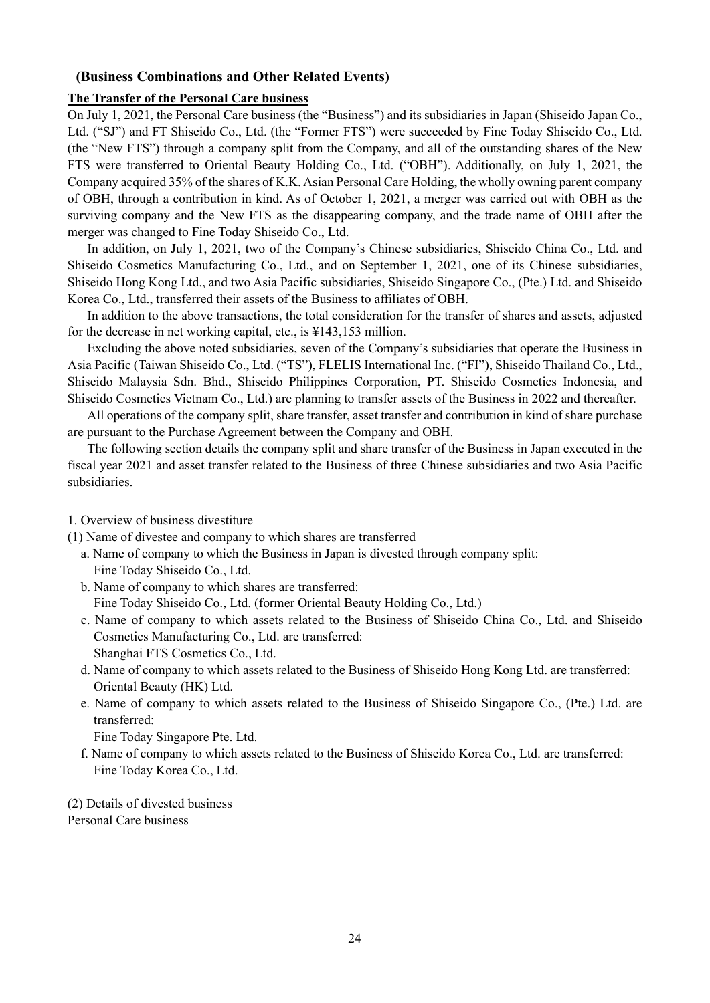#### <span id="page-27-0"></span>**(Business Combinations and Other Related Events)**

#### **The Transfer of the Personal Care business**

On July 1, 2021, the Personal Care business (the "Business") and its subsidiaries in Japan (Shiseido Japan Co., Ltd. ("SJ") and FT Shiseido Co., Ltd. (the "Former FTS") were succeeded by Fine Today Shiseido Co., Ltd. (the "New FTS") through a company split from the Company, and all of the outstanding shares of the New FTS were transferred to Oriental Beauty Holding Co., Ltd. ("OBH"). Additionally, on July 1, 2021, the Company acquired 35% of the shares of K.K. Asian Personal Care Holding, the wholly owning parent company of OBH, through a contribution in kind. As of October 1, 2021, a merger was carried out with OBH as the surviving company and the New FTS as the disappearing company, and the trade name of OBH after the merger was changed to Fine Today Shiseido Co., Ltd.

In addition, on July 1, 2021, two of the Company's Chinese subsidiaries, Shiseido China Co., Ltd. and Shiseido Cosmetics Manufacturing Co., Ltd., and on September 1, 2021, one of its Chinese subsidiaries, Shiseido Hong Kong Ltd., and two Asia Pacific subsidiaries, Shiseido Singapore Co., (Pte.) Ltd. and Shiseido Korea Co., Ltd., transferred their assets of the Business to affiliates of OBH.

In addition to the above transactions, the total consideration for the transfer of shares and assets, adjusted for the decrease in net working capital, etc., is ¥143,153 million.

Excluding the above noted subsidiaries, seven of the Company's subsidiaries that operate the Business in Asia Pacific (Taiwan Shiseido Co., Ltd. ("TS"), FLELIS International Inc. ("FI"), Shiseido Thailand Co., Ltd., Shiseido Malaysia Sdn. Bhd., Shiseido Philippines Corporation, PT. Shiseido Cosmetics Indonesia, and Shiseido Cosmetics Vietnam Co., Ltd.) are planning to transfer assets of the Business in 2022 and thereafter.

All operations of the company split, share transfer, asset transfer and contribution in kind of share purchase are pursuant to the Purchase Agreement between the Company and OBH.

The following section details the company split and share transfer of the Business in Japan executed in the fiscal year 2021 and asset transfer related to the Business of three Chinese subsidiaries and two Asia Pacific subsidiaries.

1. Overview of business divestiture

(1) Name of divestee and company to which shares are transferred

- a. Name of company to which the Business in Japan is divested through company split: Fine Today Shiseido Co., Ltd.
- b. Name of company to which shares are transferred: Fine Today Shiseido Co., Ltd. (former Oriental Beauty Holding Co., Ltd.)
- c. Name of company to which assets related to the Business of Shiseido China Co., Ltd. and Shiseido Cosmetics Manufacturing Co., Ltd. are transferred: Shanghai FTS Cosmetics Co., Ltd.
- d. Name of company to which assets related to the Business of Shiseido Hong Kong Ltd. are transferred: Oriental Beauty (HK) Ltd.
- e. Name of company to which assets related to the Business of Shiseido Singapore Co., (Pte.) Ltd. are transferred:

Fine Today Singapore Pte. Ltd.

f. Name of company to which assets related to the Business of Shiseido Korea Co., Ltd. are transferred: Fine Today Korea Co., Ltd.

(2) Details of divested business Personal Care business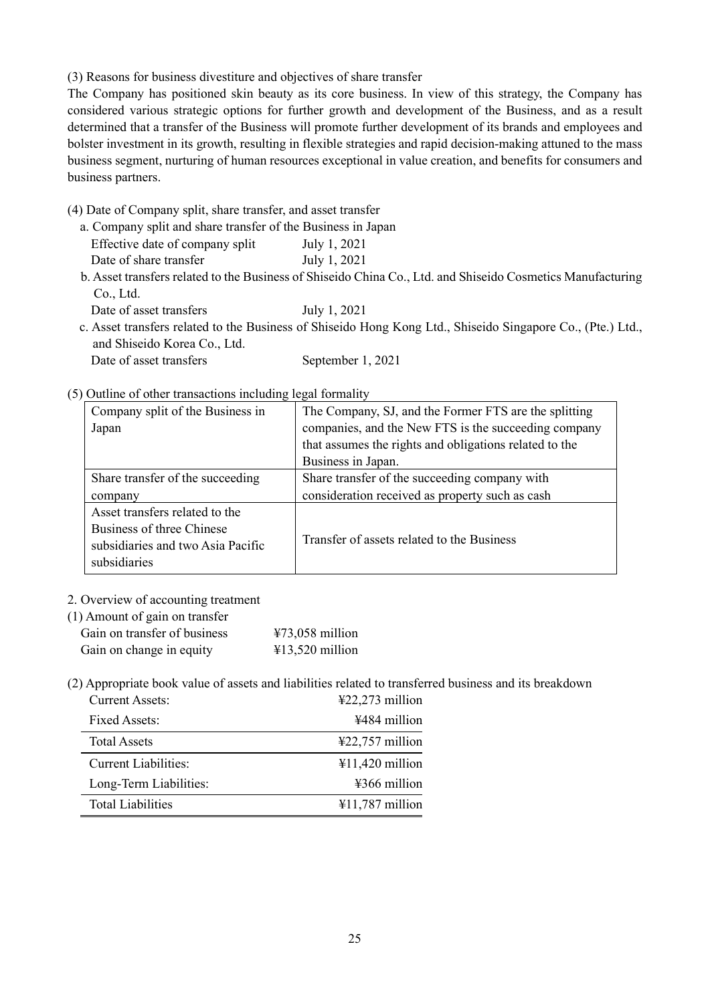(3) Reasons for business divestiture and objectives of share transfer

The Company has positioned skin beauty as its core business. In view of this strategy, the Company has considered various strategic options for further growth and development of the Business, and as a result determined that a transfer of the Business will promote further development of its brands and employees and bolster investment in its growth, resulting in flexible strategies and rapid decision-making attuned to the mass business segment, nurturing of human resources exceptional in value creation, and benefits for consumers and business partners.

(4) Date of Company split, share transfer, and asset transfer

a. Company split and share transfer of the Business in Japan Effective date of company split July 1, 2021 Date of share transfer<br>July 1, 2021

b. Asset transfers related to the Business of Shiseido China Co., Ltd. and Shiseido Cosmetics Manufacturing Co., Ltd.

Date of asset transfers July 1, 2021

c. Asset transfers related to the Business of Shiseido Hong Kong Ltd., Shiseido Singapore Co., (Pte.) Ltd., and Shiseido Korea Co., Ltd.

## Date of asset transfers September 1, 2021

### (5) Outline of other transactions including legal formality

| Company split of the Business in                                                                                 | The Company, SJ, and the Former FTS are the splitting  |
|------------------------------------------------------------------------------------------------------------------|--------------------------------------------------------|
| Japan                                                                                                            | companies, and the New FTS is the succeeding company   |
|                                                                                                                  | that assumes the rights and obligations related to the |
|                                                                                                                  | Business in Japan.                                     |
| Share transfer of the succeeding                                                                                 | Share transfer of the succeeding company with          |
| company                                                                                                          | consideration received as property such as cash        |
| Asset transfers related to the<br>Business of three Chinese<br>subsidiaries and two Asia Pacific<br>subsidiaries | Transfer of assets related to the Business             |

#### 2. Overview of accounting treatment

| (1) Amount of gain on transfer |  |
|--------------------------------|--|
|--------------------------------|--|

| Gain on transfer of business | $473,058$ million |
|------------------------------|-------------------|
| Gain on change in equity     | $413,520$ million |

(2) Appropriate book value of assets and liabilities related to transferred business and its breakdown

| <b>Current Assets:</b>      | $\text{\textsterling}22,273$ million |
|-----------------------------|--------------------------------------|
| Fixed Assets:               | ¥484 million                         |
| <b>Total Assets</b>         | $\text{\textsterling}22,757$ million |
| <b>Current Liabilities:</b> | $¥11,420$ million                    |
| Long-Term Liabilities:      | $\frac{12366}{120}$ million          |
| <b>Total Liabilities</b>    | $\text{\#}11,787$ million            |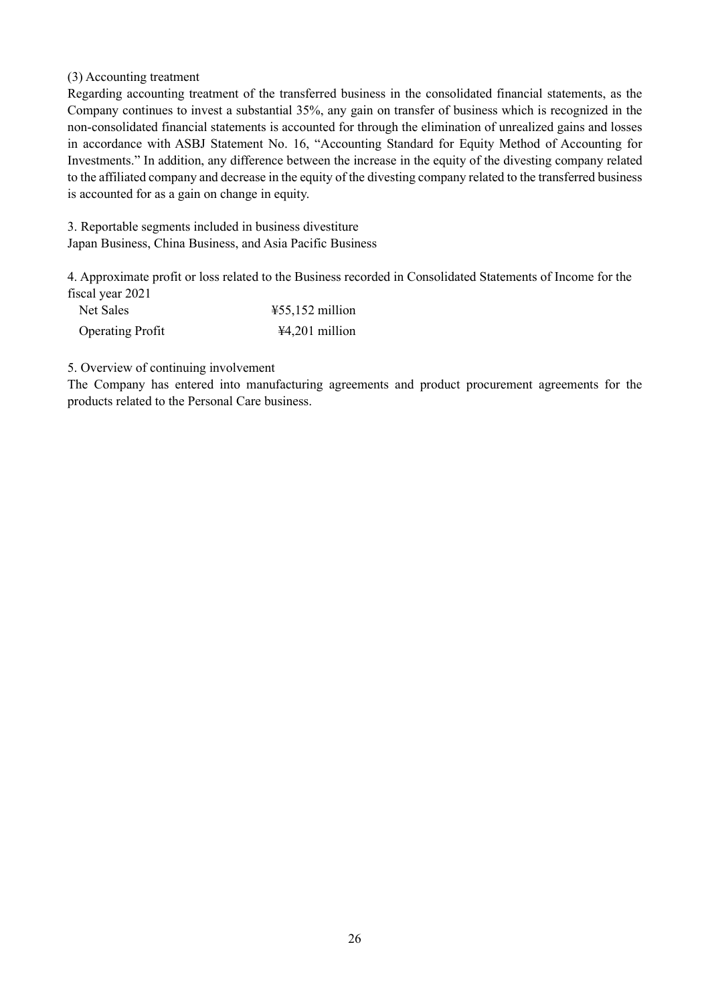### (3) Accounting treatment

Regarding accounting treatment of the transferred business in the consolidated financial statements, as the Company continues to invest a substantial 35%, any gain on transfer of business which is recognized in the non-consolidated financial statements is accounted for through the elimination of unrealized gains and losses in accordance with ASBJ Statement No. 16, "Accounting Standard for Equity Method of Accounting for Investments." In addition, any difference between the increase in the equity of the divesting company related to the affiliated company and decrease in the equity of the divesting company related to the transferred business is accounted for as a gain on change in equity.

3. Reportable segments included in business divestiture Japan Business, China Business, and Asia Pacific Business

4. Approximate profit or loss related to the Business recorded in Consolidated Statements of Income for the fiscal year 2021

| Net Sales               | $\text{\#55,152}$ million |
|-------------------------|---------------------------|
| <b>Operating Profit</b> | ¥4,201 million            |

5. Overview of continuing involvement

The Company has entered into manufacturing agreements and product procurement agreements for the products related to the Personal Care business.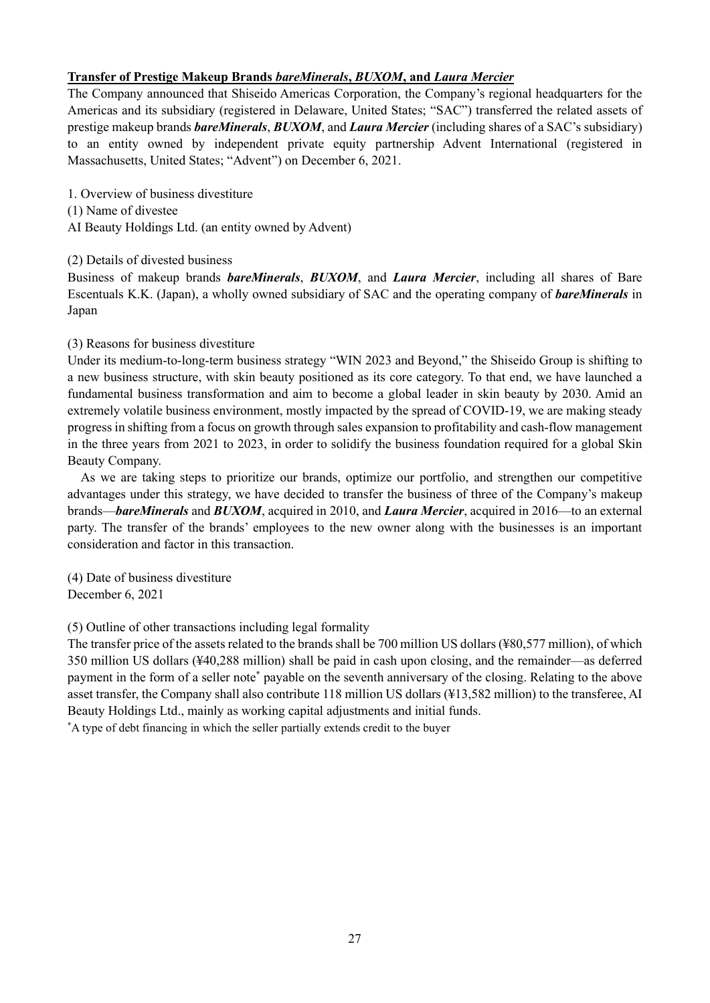## **Transfer of Prestige Makeup Brands** *bareMinerals***,** *BUXOM***, and** *Laura Mercier*

The Company announced that Shiseido Americas Corporation, the Company's regional headquarters for the Americas and its subsidiary (registered in Delaware, United States; "SAC") transferred the related assets of prestige makeup brands *bareMinerals*, *BUXOM*, and *Laura Mercier* (including shares of a SAC's subsidiary) to an entity owned by independent private equity partnership Advent International (registered in Massachusetts, United States; "Advent") on December 6, 2021.

- 1. Overview of business divestiture
- (1) Name of divestee
- AI Beauty Holdings Ltd. (an entity owned by Advent)

### (2) Details of divested business

Business of makeup brands *bareMinerals*, *BUXOM*, and *Laura Mercier*, including all shares of Bare Escentuals K.K. (Japan), a wholly owned subsidiary of SAC and the operating company of *bareMinerals* in Japan

### (3) Reasons for business divestiture

Under its medium-to-long-term business strategy "WIN 2023 and Beyond," the Shiseido Group is shifting to a new business structure, with skin beauty positioned as its core category. To that end, we have launched a fundamental business transformation and aim to become a global leader in skin beauty by 2030. Amid an extremely volatile business environment, mostly impacted by the spread of COVID-19, we are making steady progress in shifting from a focus on growth through sales expansion to profitability and cash-flow management in the three years from 2021 to 2023, in order to solidify the business foundation required for a global Skin Beauty Company.

As we are taking steps to prioritize our brands, optimize our portfolio, and strengthen our competitive advantages under this strategy, we have decided to transfer the business of three of the Company's makeup brands—*bareMinerals* and *BUXOM*, acquired in 2010, and *Laura Mercier*, acquired in 2016—to an external party. The transfer of the brands' employees to the new owner along with the businesses is an important consideration and factor in this transaction.

(4) Date of business divestiture December 6, 2021

(5) Outline of other transactions including legal formality

The transfer price of the assets related to the brands shall be 700 million US dollars(¥80,577 million), of which 350 million US dollars (¥40,288 million) shall be paid in cash upon closing, and the remainder—as deferred payment in the form of a seller note\* payable on the seventh anniversary of the closing. Relating to the above asset transfer, the Company shall also contribute 118 million US dollars (¥13,582 million) to the transferee, AI Beauty Holdings Ltd., mainly as working capital adjustments and initial funds.

\* A type of debt financing in which the seller partially extends credit to the buyer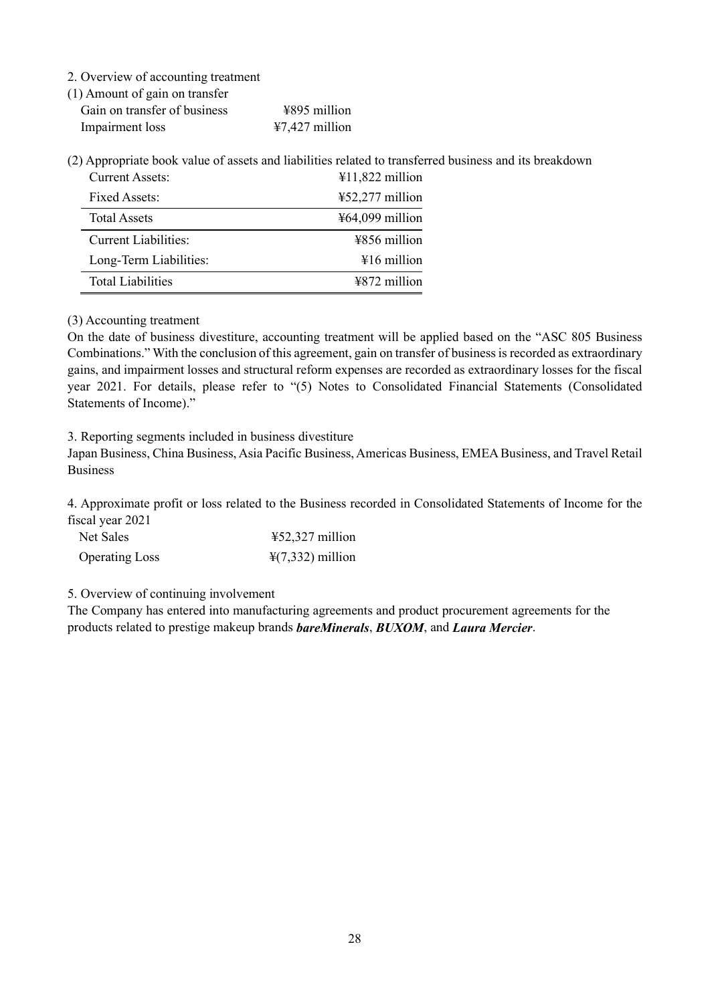2. Overview of accounting treatment

(1) Amount of gain on transfer

| $\sqrt{2}$ |                              |  |                             |
|------------|------------------------------|--|-----------------------------|
|            | Gain on transfer of business |  | $\frac{12895}{100}$ million |
|            | Impairment loss              |  | $47,427$ million            |

(2) Appropriate book value of assets and liabilities related to transferred business and its breakdown Current Assets: ¥11,822 million

| $\sim$ $\alpha$ , $\sim$ $\alpha$ , $\alpha$ , $\sim$ $\alpha$ , $\alpha$ | 111,022 minon                   |
|---------------------------------------------------------------------------|---------------------------------|
| Fixed Assets:                                                             | $452,277$ million               |
| <b>Total Assets</b>                                                       | $\frac{1564,099}{1000}$ million |
| Current Liabilities:                                                      | ¥856 million                    |
| Long-Term Liabilities:                                                    | $\frac{1}{2}16$ million         |
| <b>Total Liabilities</b>                                                  | $4872$ million                  |

(3) Accounting treatment

On the date of business divestiture, accounting treatment will be applied based on the "ASC 805 Business Combinations." With the conclusion of this agreement, gain on transfer of business is recorded as extraordinary gains, and impairment losses and structural reform expenses are recorded as extraordinary losses for the fiscal year 2021. For details, please refer to "(5) Notes to Consolidated Financial Statements (Consolidated Statements of Income)."

3. Reporting segments included in business divestiture

Japan Business, China Business, Asia Pacific Business, Americas Business, EMEA Business, and Travel Retail Business

4. Approximate profit or loss related to the Business recorded in Consolidated Statements of Income for the fiscal year 2021

| Net Sales             | $\text{\#52,327}$ million    |
|-----------------------|------------------------------|
| <b>Operating Loss</b> | $\frac{1}{2}(7,332)$ million |

5. Overview of continuing involvement

The Company has entered into manufacturing agreements and product procurement agreements for the products related to prestige makeup brands *bareMinerals*, *BUXOM*, and *Laura Mercier*.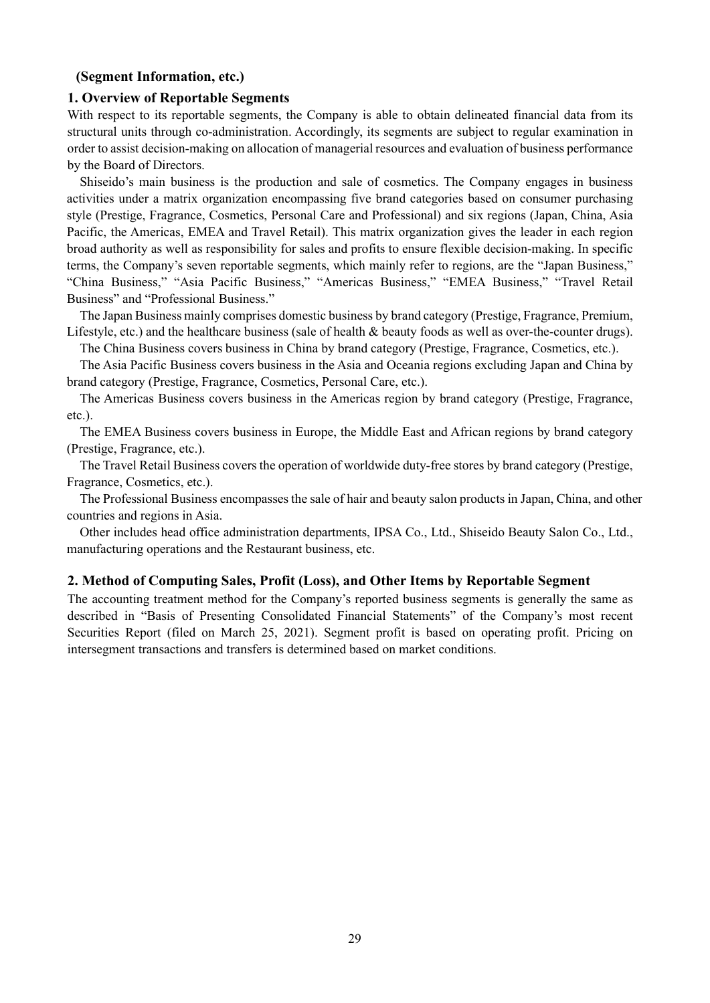### <span id="page-32-0"></span>**(Segment Information, etc.)**

#### **1. Overview of Reportable Segments**

With respect to its reportable segments, the Company is able to obtain delineated financial data from its structural units through co-administration. Accordingly, its segments are subject to regular examination in order to assist decision-making on allocation of managerial resources and evaluation of business performance by the Board of Directors.

Shiseido's main business is the production and sale of cosmetics. The Company engages in business activities under a matrix organization encompassing five brand categories based on consumer purchasing style (Prestige, Fragrance, Cosmetics, Personal Care and Professional) and six regions (Japan, China, Asia Pacific, the Americas, EMEA and Travel Retail). This matrix organization gives the leader in each region broad authority as well as responsibility for sales and profits to ensure flexible decision-making. In specific terms, the Company's seven reportable segments, which mainly refer to regions, are the "Japan Business," "China Business," "Asia Pacific Business," "Americas Business," "EMEA Business," "Travel Retail Business" and "Professional Business."

The Japan Business mainly comprises domestic business by brand category (Prestige, Fragrance, Premium, Lifestyle, etc.) and the healthcare business (sale of health & beauty foods as well as over-the-counter drugs).

The China Business covers business in China by brand category (Prestige, Fragrance, Cosmetics, etc.).

The Asia Pacific Business covers business in the Asia and Oceania regions excluding Japan and China by brand category (Prestige, Fragrance, Cosmetics, Personal Care, etc.).

The Americas Business covers business in the Americas region by brand category (Prestige, Fragrance, etc.).

The EMEA Business covers business in Europe, the Middle East and African regions by brand category (Prestige, Fragrance, etc.).

The Travel Retail Business covers the operation of worldwide duty-free stores by brand category (Prestige, Fragrance, Cosmetics, etc.).

The Professional Business encompasses the sale of hair and beauty salon products in Japan, China, and other countries and regions in Asia.

Other includes head office administration departments, IPSA Co., Ltd., Shiseido Beauty Salon Co., Ltd., manufacturing operations and the Restaurant business, etc.

#### **2. Method of Computing Sales, Profit (Loss), and Other Items by Reportable Segment**

The accounting treatment method for the Company's reported business segments is generally the same as described in "Basis of Presenting Consolidated Financial Statements" of the Company's most recent Securities Report (filed on March 25, 2021). Segment profit is based on operating profit. Pricing on intersegment transactions and transfers is determined based on market conditions.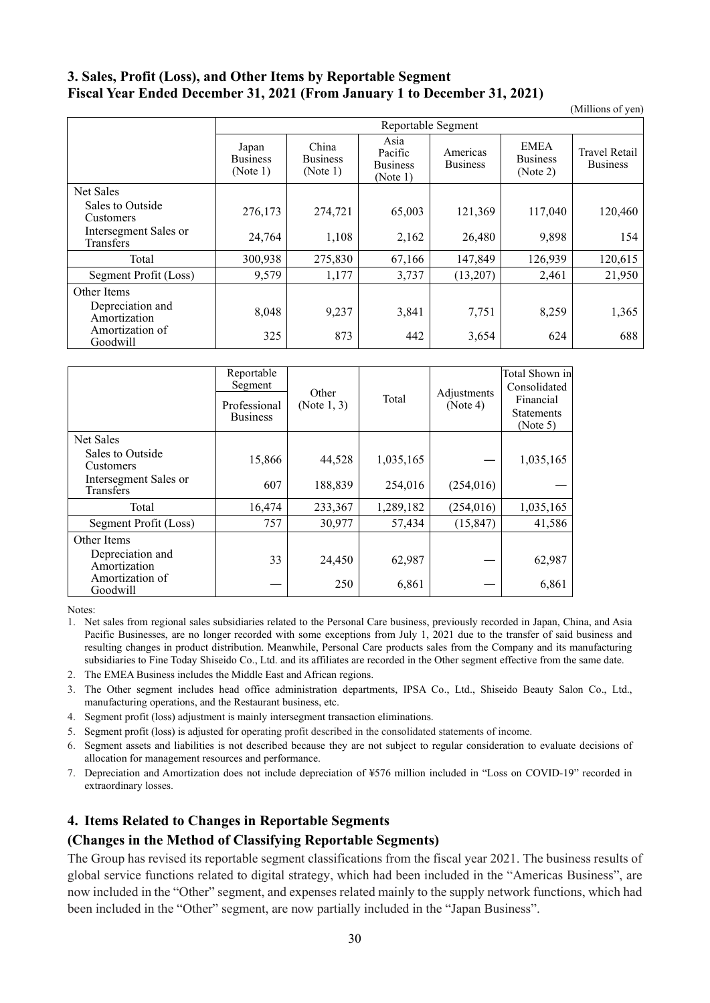## **3. Sales, Profit (Loss), and Other Items by Reportable Segment Fiscal Year Ended December 31, 2021 (From January 1 to December 31, 2021)**

(Millions of yen)

|                                           | Reportable Segment                   |                                      |                                                |                             |                                            |                                         |
|-------------------------------------------|--------------------------------------|--------------------------------------|------------------------------------------------|-----------------------------|--------------------------------------------|-----------------------------------------|
|                                           | Japan<br><b>Business</b><br>(Note 1) | China<br><b>Business</b><br>(Note 1) | Asia<br>Pacific<br><b>Business</b><br>(Note 1) | Americas<br><b>Business</b> | <b>EMEA</b><br><b>Business</b><br>(Note 2) | <b>Travel Retail</b><br><b>Business</b> |
| Net Sales                                 |                                      |                                      |                                                |                             |                                            |                                         |
| Sales to Outside<br><b>Customers</b>      | 276,173                              | 274,721                              | 65,003                                         | 121,369                     | 117,040                                    | 120,460                                 |
| Intersegment Sales or<br><b>Transfers</b> | 24,764                               | 1,108                                | 2,162                                          | 26,480                      | 9,898                                      | 154                                     |
| Total                                     | 300,938                              | 275,830                              | 67,166                                         | 147,849                     | 126,939                                    | 120,615                                 |
| Segment Profit (Loss)                     | 9,579                                | 1,177                                | 3,737                                          | (13,207)                    | 2,461                                      | 21,950                                  |
| Other Items                               |                                      |                                      |                                                |                             |                                            |                                         |
| Depreciation and<br>Amortization          | 8,048                                | 9,237                                | 3,841                                          | 7,751                       | 8,259                                      | 1,365                                   |
| Amortization of<br>Goodwill               | 325                                  | 873                                  | 442                                            | 3,654                       | 624                                        | 688                                     |

|                                    | Reportable<br>Segment<br>Professional<br><b>Business</b> | Other<br>(Note $1, 3$ ) | Total     | Adjustments<br>(Note 4) | Total Shown in<br>Consolidated<br>Financial<br><b>Statements</b><br>(Note 5) |
|------------------------------------|----------------------------------------------------------|-------------------------|-----------|-------------------------|------------------------------------------------------------------------------|
| Net Sales                          |                                                          |                         |           |                         |                                                                              |
| Sales to Outside<br>Customers      | 15,866                                                   | 44,528                  | 1,035,165 |                         | 1,035,165                                                                    |
| Intersegment Sales or<br>Transfers | 607                                                      | 188,839                 | 254,016   | (254, 016)              |                                                                              |
| Total                              | 16,474                                                   | 233,367                 | 1,289,182 | (254, 016)              | 1,035,165                                                                    |
| Segment Profit (Loss)              | 757                                                      | 30,977                  | 57,434    | (15, 847)               | 41,586                                                                       |
| Other Items                        |                                                          |                         |           |                         |                                                                              |
| Depreciation and<br>Amortization   | 33                                                       | 24,450                  | 62,987    |                         | 62,987                                                                       |
| Amortization of<br>Goodwill        |                                                          | 250                     | 6,861     |                         | 6,861                                                                        |

Notes:

- 2. The EMEA Business includes the Middle East and African regions.
- 3. The Other segment includes head office administration departments, IPSA Co., Ltd., Shiseido Beauty Salon Co., Ltd., manufacturing operations, and the Restaurant business, etc.
- 4. Segment profit (loss) adjustment is mainly intersegment transaction eliminations.
- 5. Segment profit (loss) is adjusted for operating profit described in the consolidated statements of income.
- 6. Segment assets and liabilities is not described because they are not subject to regular consideration to evaluate decisions of allocation for management resources and performance.
- 7. Depreciation and Amortization does not include depreciation of ¥576 million included in "Loss on COVID-19" recorded in extraordinary losses.

#### **4. Items Related to Changes in Reportable Segments**

#### **(Changes in the Method of Classifying Reportable Segments)**

The Group has revised its reportable segment classifications from the fiscal year 2021. The business results of global service functions related to digital strategy, which had been included in the "Americas Business", are now included in the "Other" segment, and expenses related mainly to the supply network functions, which had been included in the "Other" segment, are now partially included in the "Japan Business".

<sup>1.</sup> Net sales from regional sales subsidiaries related to the Personal Care business, previously recorded in Japan, China, and Asia Pacific Businesses, are no longer recorded with some exceptions from July 1, 2021 due to the transfer of said business and resulting changes in product distribution. Meanwhile, Personal Care products sales from the Company and its manufacturing subsidiaries to Fine Today Shiseido Co., Ltd. and its affiliates are recorded in the Other segment effective from the same date.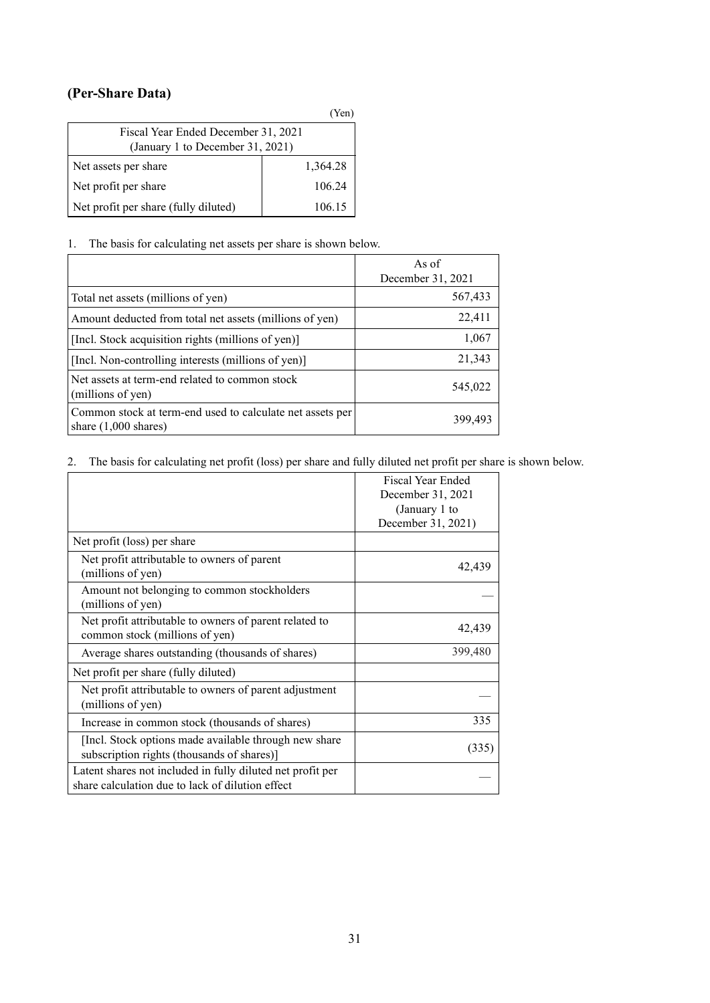## <span id="page-34-0"></span>**(Per-Share Data)**

|                                                                         | (Yen)    |  |  |
|-------------------------------------------------------------------------|----------|--|--|
| Fiscal Year Ended December 31, 2021<br>(January 1 to December 31, 2021) |          |  |  |
|                                                                         |          |  |  |
| Net assets per share                                                    | 1,364.28 |  |  |
| Net profit per share                                                    | 106.24   |  |  |
| Net profit per share (fully diluted)                                    | 106.15   |  |  |

### 1. The basis for calculating net assets per share is shown below.

|                                                                                             | As of<br>December 31, 2021 |
|---------------------------------------------------------------------------------------------|----------------------------|
| Total net assets (millions of yen)                                                          | 567,433                    |
| Amount deducted from total net assets (millions of yen)                                     | 22,411                     |
| [Incl. Stock acquisition rights (millions of yen)]                                          | 1,067                      |
| [Incl. Non-controlling interests (millions of yen)]                                         | 21,343                     |
| Net assets at term-end related to common stock<br>(millions of yen)                         | 545,022                    |
| Common stock at term-end used to calculate net assets per<br>share $(1,000 \text{ shares})$ | 399,493                    |

#### 2. The basis for calculating net profit (loss) per share and fully diluted net profit per share is shown below.

|                                                                                                                | Fiscal Year Ended<br>December 31, 2021<br>(January 1 to |
|----------------------------------------------------------------------------------------------------------------|---------------------------------------------------------|
|                                                                                                                | December 31, 2021)                                      |
| Net profit (loss) per share                                                                                    |                                                         |
| Net profit attributable to owners of parent<br>(millions of yen)                                               | 42,439                                                  |
| Amount not belonging to common stockholders<br>(millions of yen)                                               |                                                         |
| Net profit attributable to owners of parent related to<br>common stock (millions of yen)                       | 42,439                                                  |
| Average shares outstanding (thousands of shares)                                                               | 399,480                                                 |
| Net profit per share (fully diluted)                                                                           |                                                         |
| Net profit attributable to owners of parent adjustment<br>(millions of yen)                                    |                                                         |
| Increase in common stock (thousands of shares)                                                                 | 335                                                     |
| [Incl. Stock options made available through new share<br>subscription rights (thousands of shares)]            | (335)                                                   |
| Latent shares not included in fully diluted net profit per<br>share calculation due to lack of dilution effect |                                                         |